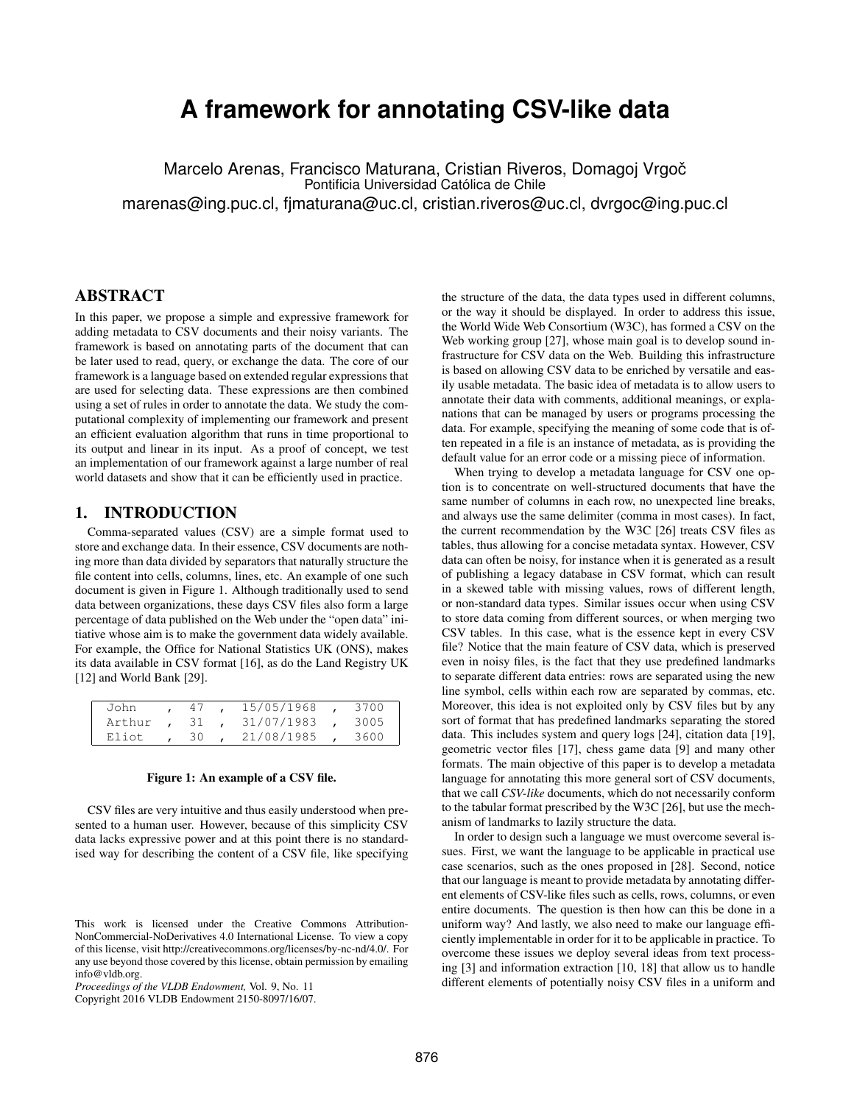# **A framework for annotating CSV-like data**

Marcelo Arenas, Francisco Maturana, Cristian Riveros, Domagoj Vrgoč Pontificia Universidad Católica de Chile marenas@ing.puc.cl, fjmaturana@uc.cl, cristian.riveros@uc.cl, dvrgoc@ing.puc.cl

## ABSTRACT

In this paper, we propose a simple and expressive framework for adding metadata to CSV documents and their noisy variants. The framework is based on annotating parts of the document that can be later used to read, query, or exchange the data. The core of our framework is a language based on extended regular expressions that are used for selecting data. These expressions are then combined using a set of rules in order to annotate the data. We study the computational complexity of implementing our framework and present an efficient evaluation algorithm that runs in time proportional to its output and linear in its input. As a proof of concept, we test an implementation of our framework against a large number of real world datasets and show that it can be efficiently used in practice.

## 1. INTRODUCTION

Comma-separated values (CSV) are a simple format used to store and exchange data. In their essence, CSV documents are nothing more than data divided by separators that naturally structure the file content into cells, columns, lines, etc. An example of one such document is given in Figure [1.](#page-0-0) Although traditionally used to send data between organizations, these days CSV files also form a large percentage of data published on the Web under the "open data" initiative whose aim is to make the government data widely available. For example, the Office for National Statistics UK (ONS), makes its data available in CSV format [\[16\]](#page-11-0), as do the Land Registry UK [\[12\]](#page-11-1) and World Bank [\[29\]](#page-11-2).

| John   |     | 15/05/1968 | 3700 |
|--------|-----|------------|------|
| Arthur | -31 | 31/07/1983 | 3005 |
| Eliot  | 30  | 21/08/1985 | 3600 |

#### <span id="page-0-0"></span>Figure 1: An example of a CSV file.

CSV files are very intuitive and thus easily understood when presented to a human user. However, because of this simplicity CSV data lacks expressive power and at this point there is no standardised way for describing the content of a CSV file, like specifying

Copyright 2016 VLDB Endowment 2150-8097/16/07.

the structure of the data, the data types used in different columns, or the way it should be displayed. In order to address this issue, the World Wide Web Consortium (W3C), has formed a CSV on the Web working group [\[27\]](#page-11-3), whose main goal is to develop sound infrastructure for CSV data on the Web. Building this infrastructure is based on allowing CSV data to be enriched by versatile and easily usable metadata. The basic idea of metadata is to allow users to annotate their data with comments, additional meanings, or explanations that can be managed by users or programs processing the data. For example, specifying the meaning of some code that is often repeated in a file is an instance of metadata, as is providing the default value for an error code or a missing piece of information.

When trying to develop a metadata language for CSV one option is to concentrate on well-structured documents that have the same number of columns in each row, no unexpected line breaks, and always use the same delimiter (comma in most cases). In fact, the current recommendation by the W3C [\[26\]](#page-11-4) treats CSV files as tables, thus allowing for a concise metadata syntax. However, CSV data can often be noisy, for instance when it is generated as a result of publishing a legacy database in CSV format, which can result in a skewed table with missing values, rows of different length, or non-standard data types. Similar issues occur when using CSV to store data coming from different sources, or when merging two CSV tables. In this case, what is the essence kept in every CSV file? Notice that the main feature of CSV data, which is preserved even in noisy files, is the fact that they use predefined landmarks to separate different data entries: rows are separated using the new line symbol, cells within each row are separated by commas, etc. Moreover, this idea is not exploited only by CSV files but by any sort of format that has predefined landmarks separating the stored data. This includes system and query logs [\[24\]](#page-11-5), citation data [\[19\]](#page-11-6), geometric vector files [\[17\]](#page-11-7), chess game data [\[9\]](#page-11-8) and many other formats. The main objective of this paper is to develop a metadata language for annotating this more general sort of CSV documents, that we call *CSV-like* documents, which do not necessarily conform to the tabular format prescribed by the W3C [\[26\]](#page-11-4), but use the mechanism of landmarks to lazily structure the data.

In order to design such a language we must overcome several issues. First, we want the language to be applicable in practical use case scenarios, such as the ones proposed in [\[28\]](#page-11-9). Second, notice that our language is meant to provide metadata by annotating different elements of CSV-like files such as cells, rows, columns, or even entire documents. The question is then how can this be done in a uniform way? And lastly, we also need to make our language efficiently implementable in order for it to be applicable in practice. To overcome these issues we deploy several ideas from text processing [\[3\]](#page-11-10) and information extraction [\[10,](#page-11-11) [18\]](#page-11-12) that allow us to handle different elements of potentially noisy CSV files in a uniform and

This work is licensed under the Creative Commons Attribution-NonCommercial-NoDerivatives 4.0 International License. To view a copy of this license, visit http://creativecommons.org/licenses/by-nc-nd/4.0/. For any use beyond those covered by this license, obtain permission by emailing info@vldb.org.

*Proceedings of the VLDB Endowment,* Vol. 9, No. 11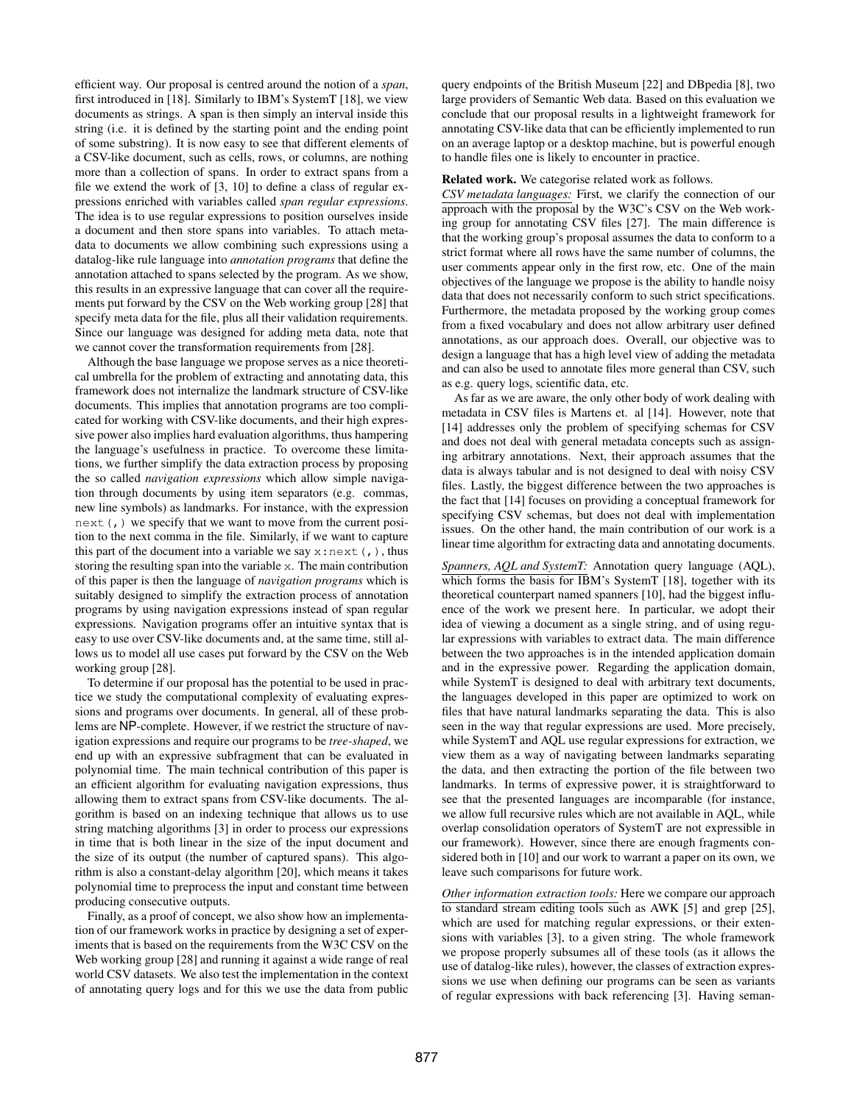efficient way. Our proposal is centred around the notion of a *span*, first introduced in [\[18\]](#page-11-12). Similarly to IBM's SystemT [\[18\]](#page-11-12), we view documents as strings. A span is then simply an interval inside this string (i.e. it is defined by the starting point and the ending point of some substring). It is now easy to see that different elements of a CSV-like document, such as cells, rows, or columns, are nothing more than a collection of spans. In order to extract spans from a file we extend the work of [\[3,](#page-11-10) [10\]](#page-11-11) to define a class of regular expressions enriched with variables called *span regular expressions*. The idea is to use regular expressions to position ourselves inside a document and then store spans into variables. To attach metadata to documents we allow combining such expressions using a datalog-like rule language into *annotation programs* that define the annotation attached to spans selected by the program. As we show, this results in an expressive language that can cover all the requirements put forward by the CSV on the Web working group [\[28\]](#page-11-9) that specify meta data for the file, plus all their validation requirements. Since our language was designed for adding meta data, note that we cannot cover the transformation requirements from [\[28\]](#page-11-9).

Although the base language we propose serves as a nice theoretical umbrella for the problem of extracting and annotating data, this framework does not internalize the landmark structure of CSV-like documents. This implies that annotation programs are too complicated for working with CSV-like documents, and their high expressive power also implies hard evaluation algorithms, thus hampering the language's usefulness in practice. To overcome these limitations, we further simplify the data extraction process by proposing the so called *navigation expressions* which allow simple navigation through documents by using item separators (e.g. commas, new line symbols) as landmarks. For instance, with the expression next  $\binom{1}{k}$  we specify that we want to move from the current position to the next comma in the file. Similarly, if we want to capture this part of the document into a variable we say  $x : \text{next}(,))$ , thus storing the resulting span into the variable x. The main contribution of this paper is then the language of *navigation programs* which is suitably designed to simplify the extraction process of annotation programs by using navigation expressions instead of span regular expressions. Navigation programs offer an intuitive syntax that is easy to use over CSV-like documents and, at the same time, still allows us to model all use cases put forward by the CSV on the Web working group [\[28\]](#page-11-9).

To determine if our proposal has the potential to be used in practice we study the computational complexity of evaluating expressions and programs over documents. In general, all of these problems are NP-complete. However, if we restrict the structure of navigation expressions and require our programs to be *tree-shaped*, we end up with an expressive subfragment that can be evaluated in polynomial time. The main technical contribution of this paper is an efficient algorithm for evaluating navigation expressions, thus allowing them to extract spans from CSV-like documents. The algorithm is based on an indexing technique that allows us to use string matching algorithms [\[3\]](#page-11-10) in order to process our expressions in time that is both linear in the size of the input document and the size of its output (the number of captured spans). This algorithm is also a constant-delay algorithm [\[20\]](#page-11-13), which means it takes polynomial time to preprocess the input and constant time between producing consecutive outputs.

Finally, as a proof of concept, we also show how an implementation of our framework works in practice by designing a set of experiments that is based on the requirements from the W3C CSV on the Web working group [\[28\]](#page-11-9) and running it against a wide range of real world CSV datasets. We also test the implementation in the context of annotating query logs and for this we use the data from public

query endpoints of the British Museum [\[22\]](#page-11-14) and DBpedia [\[8\]](#page-11-15), two large providers of Semantic Web data. Based on this evaluation we conclude that our proposal results in a lightweight framework for annotating CSV-like data that can be efficiently implemented to run on an average laptop or a desktop machine, but is powerful enough to handle files one is likely to encounter in practice.

#### Related work. We categorise related work as follows.

*CSV metadata languages:* First, we clarify the connection of our approach with the proposal by the W3C's CSV on the Web working group for annotating CSV files [\[27\]](#page-11-3). The main difference is that the working group's proposal assumes the data to conform to a strict format where all rows have the same number of columns, the user comments appear only in the first row, etc. One of the main objectives of the language we propose is the ability to handle noisy data that does not necessarily conform to such strict specifications. Furthermore, the metadata proposed by the working group comes from a fixed vocabulary and does not allow arbitrary user defined annotations, as our approach does. Overall, our objective was to design a language that has a high level view of adding the metadata and can also be used to annotate files more general than CSV, such as e.g. query logs, scientific data, etc.

As far as we are aware, the only other body of work dealing with metadata in CSV files is Martens et. al [\[14\]](#page-11-16). However, note that [\[14\]](#page-11-16) addresses only the problem of specifying schemas for CSV and does not deal with general metadata concepts such as assigning arbitrary annotations. Next, their approach assumes that the data is always tabular and is not designed to deal with noisy CSV files. Lastly, the biggest difference between the two approaches is the fact that [\[14\]](#page-11-16) focuses on providing a conceptual framework for specifying CSV schemas, but does not deal with implementation issues. On the other hand, the main contribution of our work is a linear time algorithm for extracting data and annotating documents.

*Spanners, AQL and SystemT:* Annotation query language (AQL), which forms the basis for IBM's SystemT [\[18\]](#page-11-12), together with its theoretical counterpart named spanners [\[10\]](#page-11-11), had the biggest influence of the work we present here. In particular, we adopt their idea of viewing a document as a single string, and of using regular expressions with variables to extract data. The main difference between the two approaches is in the intended application domain and in the expressive power. Regarding the application domain, while SystemT is designed to deal with arbitrary text documents, the languages developed in this paper are optimized to work on files that have natural landmarks separating the data. This is also seen in the way that regular expressions are used. More precisely, while SystemT and AQL use regular expressions for extraction, we view them as a way of navigating between landmarks separating the data, and then extracting the portion of the file between two landmarks. In terms of expressive power, it is straightforward to see that the presented languages are incomparable (for instance, we allow full recursive rules which are not available in AQL, while overlap consolidation operators of SystemT are not expressible in our framework). However, since there are enough fragments considered both in [\[10\]](#page-11-11) and our work to warrant a paper on its own, we leave such comparisons for future work.

*Other information extraction tools:* Here we compare our approach to standard stream editing tools such as AWK [\[5\]](#page-11-17) and grep [\[25\]](#page-11-18), which are used for matching regular expressions, or their extensions with variables [\[3\]](#page-11-10), to a given string. The whole framework we propose properly subsumes all of these tools (as it allows the use of datalog-like rules), however, the classes of extraction expressions we use when defining our programs can be seen as variants of regular expressions with back referencing [\[3\]](#page-11-10). Having seman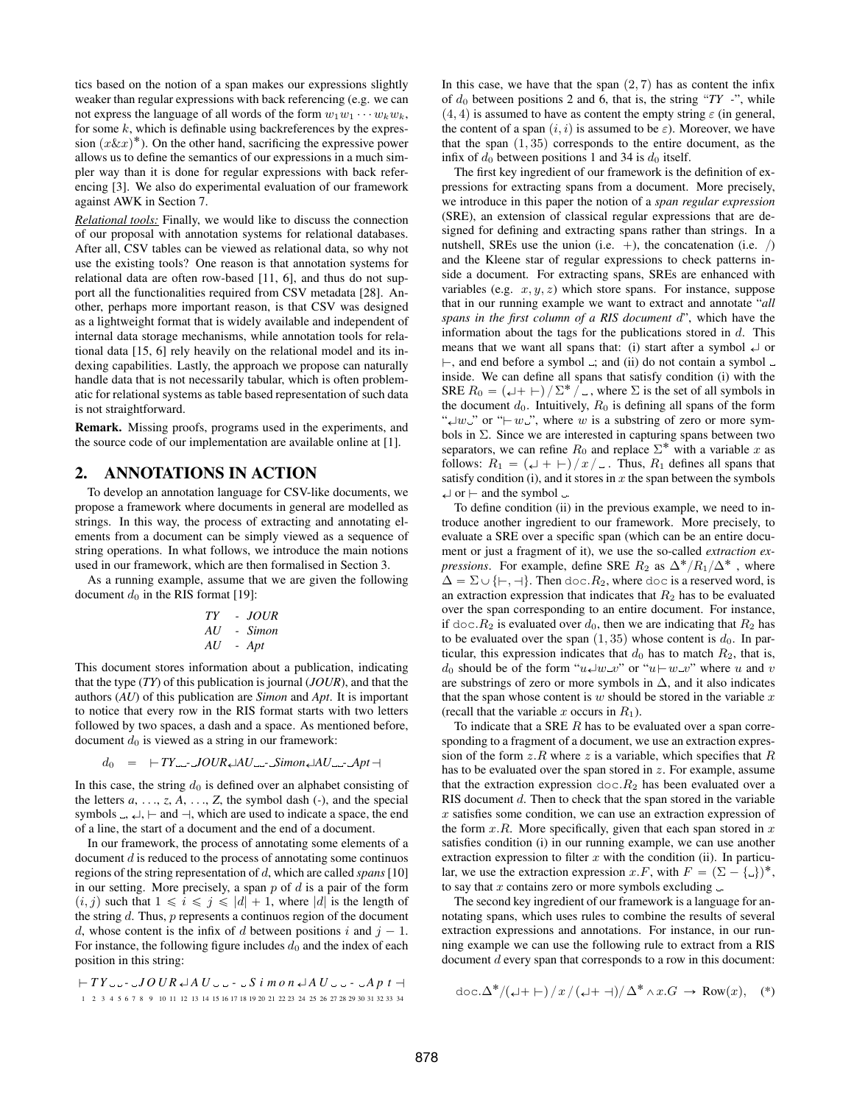tics based on the notion of a span makes our expressions slightly weaker than regular expressions with back referencing (e.g. we can not express the language of all words of the form  $w_1w_1 \cdots w_kw_k$ , for some  $k$ , which is definable using backreferences by the expression  $(x \& x)^*$ ). On the other hand, sacrificing the expressive power allows us to define the semantics of our expressions in a much simpler way than it is done for regular expressions with back referencing [\[3\]](#page-11-10). We also do experimental evaluation of our framework against AWK in Section [7.](#page-9-0)

*Relational tools:* Finally, we would like to discuss the connection of our proposal with annotation systems for relational databases. After all, CSV tables can be viewed as relational data, so why not use the existing tools? One reason is that annotation systems for relational data are often row-based [\[11,](#page-11-19) [6\]](#page-11-20), and thus do not support all the functionalities required from CSV metadata [\[28\]](#page-11-9). Another, perhaps more important reason, is that CSV was designed as a lightweight format that is widely available and independent of internal data storage mechanisms, while annotation tools for relational data [\[15,](#page-11-21) [6\]](#page-11-20) rely heavily on the relational model and its indexing capabilities. Lastly, the approach we propose can naturally handle data that is not necessarily tabular, which is often problematic for relational systems as table based representation of such data is not straightforward.

Remark. Missing proofs, programs used in the experiments, and the source code of our implementation are available online at [\[1\]](#page-11-22).

## <span id="page-2-1"></span>2. ANNOTATIONS IN ACTION

To develop an annotation language for CSV-like documents, we propose a framework where documents in general are modelled as strings. In this way, the process of extracting and annotating elements from a document can be simply viewed as a sequence of string operations. In what follows, we introduce the main notions used in our framework, which are then formalised in Section [3.](#page-3-0)

As a running example, assume that we are given the following document  $d_0$  in the RIS format [\[19\]](#page-11-6):

*TY - JOUR AU - Simon AU - Apt*

This document stores information about a publication, indicating that the type (*TY*) of this publication is journal (*JOUR*), and that the authors (*AU*) of this publication are *Simon* and *Apt*. It is important to notice that every row in the RIS format starts with two letters followed by two spaces, a dash and a space. As mentioned before, document  $d_0$  is viewed as a string in our framework:

$$
d_0 = \quad +TY \quad JOUR \quad \text{and} \quad \text{L}A U \quad \text{and} \quad \text{L}A U \quad \text{and} \quad \text{L}A U \quad \text{and} \quad \text{L}A U \quad \text{and} \quad \text{L}A U \quad \text{and} \quad \text{L}A U \quad \text{and} \quad \text{L}A U \quad \text{and} \quad \text{L}A U \quad \text{and} \quad \text{L}A U \quad \text{and} \quad \text{L}A U \quad \text{and} \quad \text{L}A U \quad \text{and} \quad \text{L}A U \quad \text{and} \quad \text{L}A U \quad \text{and} \quad \text{L}A U \quad \text{and} \quad \text{L}A U \quad \text{and} \quad \text{L}A U \quad \text{and} \quad \text{L}A U \quad \text{and} \quad \text{L}A U \quad \text{and} \quad \text{L}A U \quad \text{and} \quad \text{L}A U \quad \text{and} \quad \text{L}A U \quad \text{and} \quad \text{L}A U \quad \text{and} \quad \text{L}A U \quad \text{and} \quad \text{L}A U \quad \text{and} \quad \text{L}A U \quad \text{and} \quad \text{L}A U \quad \text{and} \quad \text{L}A U \quad \text{and} \quad \text{L}A U \quad \text{and} \quad \text{L}A U \quad \text{and} \quad \text{L}A U \quad \text{and} \quad \text{L}A U \quad \text{and} \quad \text{L}A U \quad \text{and} \quad \text{L}A U \quad \text{and} \quad \text{L}A U \quad \text{and} \quad \text{L}A U \quad \text{and} \quad \text{L}A U \quad \text{and} \quad \text{L}A U \quad \text{and} \quad \text{L}A U \quad \text{and} \quad \text{L}A U \quad \text{and} \quad \text{L}A U \quad \text{and} \quad \text{L}A U \quad \text{and} \quad \text{L}A U \quad \text{and} \quad \text{L}A U \quad \text{and} \quad \text{L}A U \quad \text{and} \quad \text{L}A U \quad \text{and} \quad \text{L}A U \quad \text{and} \quad \text
$$

In this case, the string  $d_0$  is defined over an alphabet consisting of the letters  $a$ , ...,  $z$ ,  $A$ , ...,  $Z$ , the symbol dash (-), and the special symbols  $\Box$ ,  $\Box$ ,  $\Box$  and  $\Box$ , which are used to indicate a space, the end of a line, the start of a document and the end of a document.

In our framework, the process of annotating some elements of a document  $d$  is reduced to the process of annotating some continuos regions of the string representation of d, which are called *spans*[\[10\]](#page-11-11) in our setting. More precisely, a span  $p$  of  $d$  is a pair of the form  $(i, j)$  such that  $1 \leq i \leq j \leq |d| + 1$ , where  $|d|$  is the length of the string  $d$ . Thus,  $p$  represents a continuos region of the document d, whose content is the infix of d between positions i and  $j - 1$ . For instance, the following figure includes  $d_0$  and the index of each position in this string:

$$
+ T Y_{-} - J O U R \downarrow A U_{-} - S i m o n \downarrow A U_{-} - A p t +
$$
  
1 2 3 4 5 6 7 8 9 10 11 12 13 14 15 16 17 18 19 20 21 22 23 24 25 26 27 28 29 30 31 32 33 34

In this case, we have that the span  $(2, 7)$  has as content the infix of  $d_0$  between positions 2 and 6, that is, the string "*TY -*", while  $(4, 4)$  is assumed to have as content the empty string  $\varepsilon$  (in general, the content of a span  $(i, i)$  is assumed to be  $\varepsilon$ ). Moreover, we have that the span  $(1, 35)$  corresponds to the entire document, as the infix of  $d_0$  between positions 1 and 34 is  $d_0$  itself.

The first key ingredient of our framework is the definition of expressions for extracting spans from a document. More precisely, we introduce in this paper the notion of a *span regular expression* (SRE), an extension of classical regular expressions that are designed for defining and extracting spans rather than strings. In a nutshell, SREs use the union (i.e.  $+$ ), the concatenation (i.e.  $/$ ) and the Kleene star of regular expressions to check patterns inside a document. For extracting spans, SREs are enhanced with variables (e.g.  $x, y, z$ ) which store spans. For instance, suppose that in our running example we want to extract and annotate "*all spans in the first column of a RIS document* d", which have the information about the tags for the publications stored in  $d$ . This means that we want all spans that: (i) start after a symbol  $\downarrow$  or  $\vdash$ , and end before a symbol  $\lhd$ ; and (ii) do not contain a symbol  $\lhd$ inside. We can define all spans that satisfy condition (i) with the SRE  $R_0 = (\downarrow + \mid \cdot \mid) / \Sigma^* / \sim$ , where  $\Sigma$  is the set of all symbols in the document  $d_0$ . Intuitively,  $R_0$  is defining all spans of the form " $\downarrow w$ " or " $\vdash w$ ", where w is a substring of zero or more symbols in  $\Sigma$ . Since we are interested in capturing spans between two separators, we can refine  $R_0$  and replace  $\Sigma^*$  with a variable x as follows:  $R_1 = (\perp + \perp)/x / \ln N$ . Thus,  $R_1$  defines all spans that satisfy condition (i), and it stores in  $x$  the span between the symbols  $\downarrow$  or  $\vdash$  and the symbol  $\lnot$ .

To define condition (ii) in the previous example, we need to introduce another ingredient to our framework. More precisely, to evaluate a SRE over a specific span (which can be an entire document or just a fragment of it), we use the so-called *extraction expressions*. For example, define SRE  $R_2$  as  $\Delta^*/R_1/\Delta^*$ , where  $\Delta = \Sigma \cup \{\vdash, \dashv\}.$  Then doc. $R_2$ , where doc is a reserved word, is an extraction expression that indicates that  $R_2$  has to be evaluated over the span corresponding to an entire document. For instance, if  $\text{doc.}R_2$  is evaluated over  $d_0$ , then we are indicating that  $R_2$  has to be evaluated over the span  $(1, 35)$  whose content is  $d_0$ . In particular, this expression indicates that  $d_0$  has to match  $R_2$ , that is,  $d_0$  should be of the form " $u \neq w \neq v$ " or " $u \models w \neq v$ " where u and v are substrings of zero or more symbols in  $\Delta$ , and it also indicates that the span whose content is  $w$  should be stored in the variable  $x$ (recall that the variable  $x$  occurs in  $R_1$ ).

To indicate that a SRE  $R$  has to be evaluated over a span corresponding to a fragment of a document, we use an extraction expression of the form  $z.R$  where  $z$  is a variable, which specifies that  $R$ has to be evaluated over the span stored in z. For example, assume that the extraction expression  $\text{doc.}R_2$  has been evaluated over a RIS document d. Then to check that the span stored in the variable  $x$  satisfies some condition, we can use an extraction expression of the form  $x.R$ . More specifically, given that each span stored in  $x$ satisfies condition (i) in our running example, we can use another extraction expression to filter  $x$  with the condition (ii). In particular, we use the extraction expression  $x.F$ , with  $F = (\Sigma - \{\_ \})^*$ , to say that x contains zero or more symbols excluding  $\Box$ .

The second key ingredient of our framework is a language for annotating spans, which uses rules to combine the results of several extraction expressions and annotations. For instance, in our running example we can use the following rule to extract from a RIS document d every span that corresponds to a row in this document:

<span id="page-2-0"></span>
$$
\operatorname{doc}.\Delta^*/(\downarrow + \vdash)/x/(\downarrow + \dashv)/\Delta^* \land x.G \to \operatorname{Row}(x), (*)
$$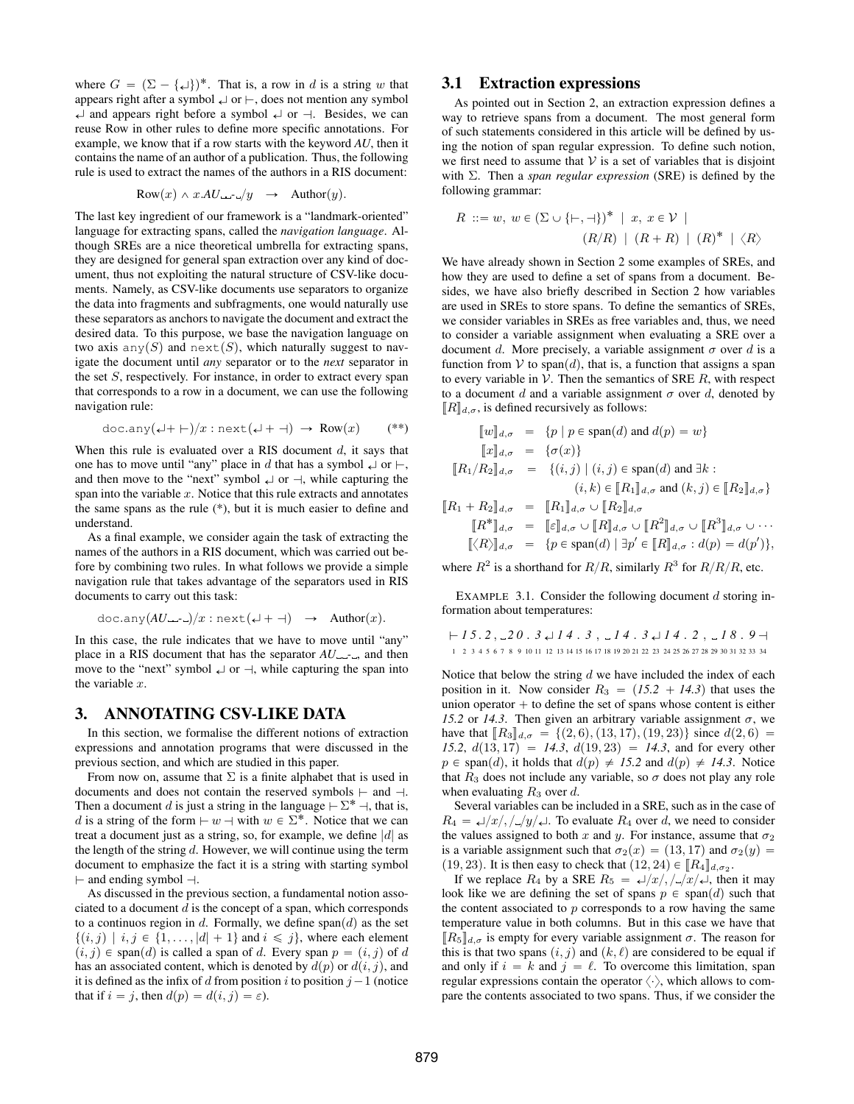where  $G = (\Sigma - {\{\star\}})^*$ . That is, a row in d is a string w that appears right after a symbol  $\downarrow$  or  $\vdash$ , does not mention any symbol  $\downarrow$  and appears right before a symbol  $\downarrow$  or  $\dashv$ . Besides, we can reuse Row in other rules to define more specific annotations. For example, we know that if a row starts with the keyword *AU*, then it contains the name of an author of a publication. Thus, the following rule is used to extract the names of the authors in a RIS document:

$$
Row(x) \wedge xAU \longrightarrow y \quad \rightarrow \quad Author(y).
$$

The last key ingredient of our framework is a "landmark-oriented" language for extracting spans, called the *navigation language*. Although SREs are a nice theoretical umbrella for extracting spans, they are designed for general span extraction over any kind of document, thus not exploiting the natural structure of CSV-like documents. Namely, as CSV-like documents use separators to organize the data into fragments and subfragments, one would naturally use these separators as anchors to navigate the document and extract the desired data. To this purpose, we base the navigation language on two axis any(S) and next(S), which naturally suggest to navigate the document until *any* separator or to the *next* separator in the set  $S$ , respectively. For instance, in order to extract every span that corresponds to a row in a document, we can use the following navigation rule:

$$
\text{doc.any}(\downarrow + \mid -)/x : \text{next}(\downarrow + \mid) \rightarrow \text{Row}(x) \qquad (*)
$$

When this rule is evaluated over a RIS document  $d$ , it says that one has to move until "any" place in d that has a symbol  $\downarrow$  or  $\vdash$ , and then move to the "next" symbol  $\downarrow$  or  $\rightarrow$ , while capturing the span into the variable  $x$ . Notice that this rule extracts and annotates the same spans as the rule [\(\\*\)](#page-2-0), but it is much easier to define and understand.

As a final example, we consider again the task of extracting the names of the authors in a RIS document, which was carried out before by combining two rules. In what follows we provide a simple navigation rule that takes advantage of the separators used in RIS documents to carry out this task:

$$
\operatorname{doc.any}(AU_{--})/x:\operatorname{next}(\dashleftarrow + \dashv) \rightarrow \operatorname{Author}(x).
$$

In this case, the rule indicates that we have to move until "any" place in a RIS document that has the separator  $AU$   $\rightarrow$   $\rightarrow$  and then move to the "next" symbol  $\downarrow$  or  $\rightarrow$ , while capturing the span into the variable  $x$ .

# <span id="page-3-0"></span>3. ANNOTATING CSV-LIKE DATA

In this section, we formalise the different notions of extraction expressions and annotation programs that were discussed in the previous section, and which are studied in this paper.

From now on, assume that  $\Sigma$  is a finite alphabet that is used in documents and does not contain the reserved symbols  $\vdash$  and  $\lnot$ . Then a document d is just a string in the language  $\vdash \Sigma^* \dashv$ , that is, d is a string of the form  $\vdash w \dashv$  with  $w \in \Sigma^*$ . Notice that we can treat a document just as a string, so, for example, we define  $|d|$  as the length of the string  $d$ . However, we will continue using the term document to emphasize the fact it is a string with starting symbol  $\vdash$  and ending symbol  $\neg$ .

As discussed in the previous section, a fundamental notion associated to a document  $d$  is the concept of a span, which corresponds to a continuos region in d. Formally, we define  $\text{span}(d)$  as the set  $\{(i, j) | i, j \in \{1, \ldots, |d| + 1\} \text{ and } i \leq j\}$ , where each element  $(i, j) \in \text{span}(d)$  is called a span of d. Every span  $p = (i, j)$  of d has an associated content, which is denoted by  $d(p)$  or  $d(i, j)$ , and it is defined as the infix of d from position i to position  $j-1$  (notice that if  $i = j$ , then  $d(p) = d(i, j) = \varepsilon$ ).

## <span id="page-3-2"></span>3.1 Extraction expressions

As pointed out in Section [2,](#page-2-1) an extraction expression defines a way to retrieve spans from a document. The most general form of such statements considered in this article will be defined by using the notion of span regular expression. To define such notion, we first need to assume that  $V$  is a set of variables that is disjoint with Σ. Then a *span regular expression* (SRE) is defined by the following grammar:

$$
R ::= w, w \in (\Sigma \cup \{\vdash, \dashv\})^* \mid x, x \in \mathcal{V} \mid
$$

$$
(R/R) \mid (R + R) \mid (R)^* \mid \langle R \rangle
$$

We have already shown in Section [2](#page-2-1) some examples of SREs, and how they are used to define a set of spans from a document. Besides, we have also briefly described in Section [2](#page-2-1) how variables are used in SREs to store spans. To define the semantics of SREs, we consider variables in SREs as free variables and, thus, we need to consider a variable assignment when evaluating a SRE over a document d. More precisely, a variable assignment  $\sigma$  over d is a function from V to span(d), that is, a function that assigns a span to every variable in  $\mathcal V$ . Then the semantics of SRE  $R$ , with respect to a document d and a variable assignment  $\sigma$  over d, denoted by  $\llbracket R \rrbracket_{d,\sigma}$ , is defined recursively as follows:

<span id="page-3-3"></span>
$$
\llbracket w \rrbracket_{d,\sigma} = \{ p \mid p \in \text{span}(d) \text{ and } d(p) = w \}
$$
  

$$
\llbracket x \rrbracket_{d,\sigma} = \{ \sigma(x) \}
$$
  

$$
\llbracket R_1/R_2 \rrbracket_{d,\sigma} = \{ (i,j) \mid (i,j) \in \text{span}(d) \text{ and } \exists k :
$$
  

$$
(i,k) \in \llbracket R_1 \rrbracket_{d,\sigma} \text{ and } (k,j) \in \llbracket R_2 \rrbracket_{d,\sigma} \}
$$
  

$$
\llbracket R_1 + R_2 \rrbracket_{d,\sigma} = \llbracket R_1 \rrbracket_{d,\sigma} \cup \llbracket R_2 \rrbracket_{d,\sigma}
$$

$$
\llbracket R^* \rrbracket_{d,\sigma} = \llbracket \varepsilon \rrbracket_{d,\sigma} \cup \llbracket R \rrbracket_{d,\sigma} \cup \llbracket R^2 \rrbracket_{d,\sigma} \cup \llbracket R^3 \rrbracket_{d,\sigma} \cup \cdots
$$
  

$$
\llbracket \langle R \rangle \rrbracket_{d,\sigma} = \{ p \in \text{span}(d) \mid \exists p' \in \llbracket R \rrbracket_{d,\sigma} : d(p) = d(p') \},
$$

<span id="page-3-1"></span>where  $R^2$  is a shorthand for  $R/R$ , similarly  $R^3$  for  $R/R/R$ , etc.

EXAMPLE 3.1. Consider the following document  $d$  storing information about temperatures:

$$
-15.2, -20.3 \Leftrightarrow 14.3, -14.3 \Leftrightarrow 14.2, -18.9 \Leftrightarrow
$$
  
1 2 3 4 5 6 7 8 9 10 11 12 13 14 15 16 17 18 19 20 21 22 23 24 25 26 27 28 29 30 31 32 33 34

Notice that below the string  $d$  we have included the index of each position in it. Now consider  $R_3 = (15.2 + 14.3)$  that uses the union operator  $+$  to define the set of spans whose content is either *15.2* or *14.3*. Then given an arbitrary variable assignment  $\sigma$ , we have that  $[[R_3]]_{d,\sigma} = \{(2,6), (13, 17), (19, 23)\}$  since  $d(2, 6)$  = *15.2*,  $d(13, 17) = 14.3$ ,  $d(19, 23) = 14.3$ , and for every other  $p \in \text{span}(d)$ , it holds that  $d(p) \neq 15.2$  and  $d(p) \neq 14.3$ . Notice that  $R_3$  does not include any variable, so  $\sigma$  does not play any role when evaluating  $R_3$  over d.

Several variables can be included in a SRE, such as in the case of  $R_4 = \sqrt{\frac{\mu}{\lambda}}, \sqrt{\frac{\mu}{\lambda}}.$  To evaluate  $R_4$  over d, we need to consider the values assigned to both x and y. For instance, assume that  $\sigma_2$ is a variable assignment such that  $\sigma_2(x) = (13, 17)$  and  $\sigma_2(y) =$ (19, 23). It is then easy to check that  $(12, 24) \in [R_4]_{d, \sigma_2}$ .<br>If we replace  $R_1$  by a SPE  $R_2 = 1/a / \sqrt{a/1}$  then

If we replace  $R_4$  by a SRE  $R_5 = \frac{\sqrt{x}}{\sqrt{x}} \frac{1}{x^2}$ , then it may look like we are defining the set of spans  $p \in \text{span}(d)$  such that the content associated to  $p$  corresponds to a row having the same temperature value in both columns. But in this case we have that  $\llbracket R_5 \rrbracket_{d,\sigma}$  is empty for every variable assignment  $\sigma$ . The reason for this is that two spans  $(i, j)$  and  $(k, \ell)$  are considered to be equal if and only if  $i = k$  and  $j = \ell$ . To overcome this limitation, span regular expressions contain the operator  $\langle \cdot \rangle$ , which allows to compare the contents associated to two spans. Thus, if we consider the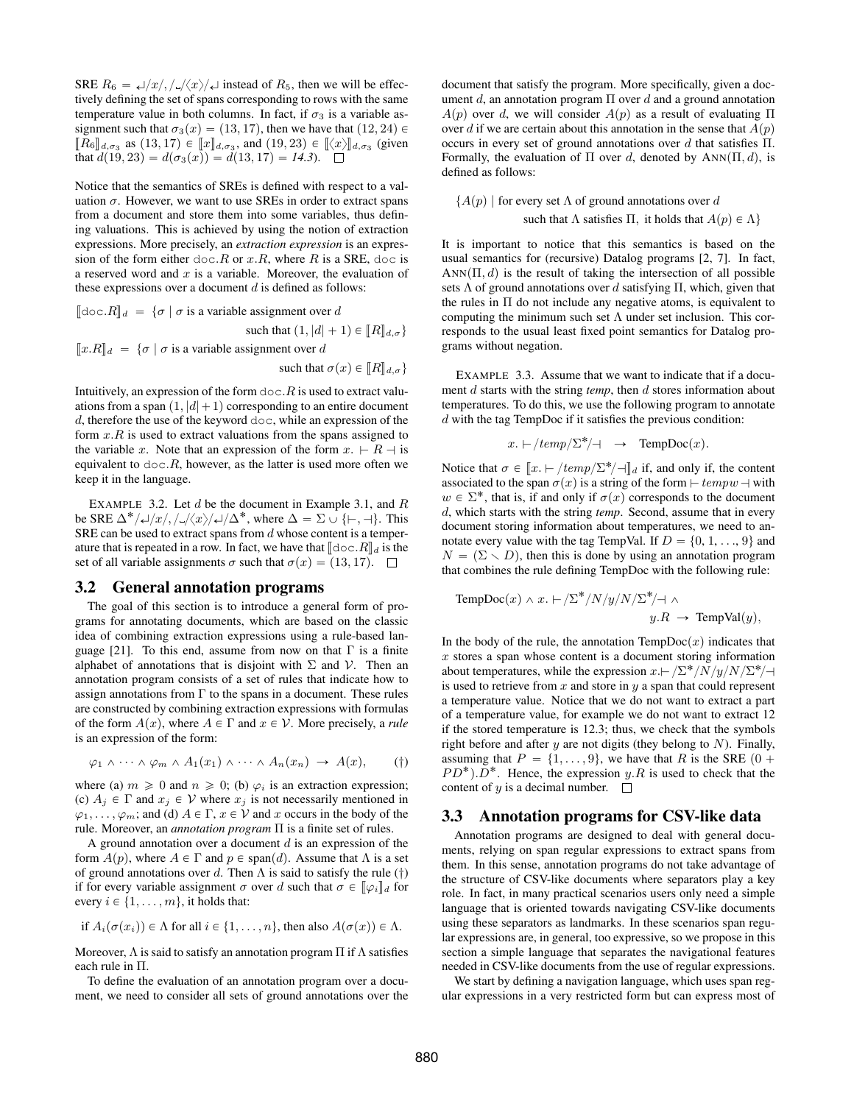SRE  $R_6 = \frac{\frac{1}{x}}{\frac{\sqrt{x}}{\sqrt{x}}}\frac{\sqrt{x}}{\sqrt{x}}$  instead of  $R_5$ , then we will be effectively defining the set of spans corresponding to rows with the same temperature value in both columns. In fact, if  $\sigma_3$  is a variable assignment such that  $\sigma_3(x) = (13, 17)$ , then we have that  $(12, 24) \in$  $\llbracket R_6 \rrbracket_{d,\sigma_3}$  as  $(13, 17) \in \llbracket x \rrbracket_{d,\sigma_3}$ , and  $(19, 23) \in \llbracket \langle x \rangle \rrbracket_{d,\sigma_3}$  (given that  $d(19, 23) = d(\tau_2(x)) = d(13, 17) = Id(3)$ that  $d(19, 23) = d(\sigma_3(x)) = d(13, 17) = 14.3$ .

Notice that the semantics of SREs is defined with respect to a valuation  $\sigma$ . However, we want to use SREs in order to extract spans from a document and store them into some variables, thus defining valuations. This is achieved by using the notion of extraction expressions. More precisely, an *extraction expression* is an expression of the form either  $\text{doc.}R$  or x.R, where R is a SRE, doc is a reserved word and  $x$  is a variable. Moreover, the evaluation of these expressions over a document  $d$  is defined as follows:

$$
[\![\text{doc.}R]\!]_d = \{ \sigma \mid \sigma \text{ is a variable assignment over } d \text{ such that } (1, |d| + 1) \in [\![R]\!]_{d,\sigma} \}
$$
\n
$$
[\![x.R]\!]_d = \{ \sigma \mid \sigma \text{ is a variable assignment over } d \text{ such that } \sigma(x) \in [\![R]\!]_{d,\sigma} \}
$$

Intuitively, an expression of the form  $\text{doc}.R$  is used to extract valuations from a span  $(1, |d| + 1)$  corresponding to an entire document  $d$ , therefore the use of the keyword  $doc$ , while an expression of the form  $x.R$  is used to extract valuations from the spans assigned to the variable x. Note that an expression of the form  $x \in \mathbb{R} \to \infty$ equivalent to  $\text{doc.}R$ , however, as the latter is used more often we keep it in the language.

EXAMPLE 3.2. Let  $d$  be the document in Example [3.1,](#page-3-1) and  $R$ be SRE  $\Delta^*/\angle/x_//\angle/\angle x_}/\angle/\Delta^*$ , where  $\Delta = \Sigma \cup \{\vdash, \dashv\}$ . This SRE can be used to extract spans from  $d$  whose content is a temperature that is repeated in a row. In fact, we have that  $[\![\text{doc}.R]\!]_d$  is the set of all variable assignments  $\sigma$  such that  $\sigma(x) = (13, 17)$ .  $\Box$ 

#### <span id="page-4-1"></span>3.2 General annotation programs

The goal of this section is to introduce a general form of programs for annotating documents, which are based on the classic idea of combining extraction expressions using a rule-based lan-guage [\[21\]](#page-11-23). To this end, assume from now on that  $\Gamma$  is a finite alphabet of annotations that is disjoint with  $\Sigma$  and  $V$ . Then an annotation program consists of a set of rules that indicate how to assign annotations from  $\Gamma$  to the spans in a document. These rules are constructed by combining extraction expressions with formulas of the form  $A(x)$ , where  $A \in \Gamma$  and  $x \in V$ . More precisely, a *rule* is an expression of the form:

$$
\varphi_1 \wedge \cdots \wedge \varphi_m \wedge A_1(x_1) \wedge \cdots \wedge A_n(x_n) \rightarrow A(x), \qquad (\dagger)
$$

where (a)  $m \ge 0$  and  $n \ge 0$ ; (b)  $\varphi_i$  is an extraction expression; (c)  $A_j \in \Gamma$  and  $x_j \in V$  where  $x_j$  is not necessarily mentioned in  $\varphi_1, \ldots, \varphi_m$ ; and (d)  $A \in \Gamma$ ,  $x \in V$  and x occurs in the body of the rule. Moreover, an *annotation program* Π is a finite set of rules.

A ground annotation over a document  $d$  is an expression of the form  $A(p)$ , where  $A \in \Gamma$  and  $p \in span(d)$ . Assume that  $\Lambda$  is a set of ground annotations over d. Then  $\Lambda$  is said to satisfy the rule ([†](#page-4-0)) if for every variable assignment  $\sigma$  over d such that  $\sigma \in [\![\varphi_i]\!]_d$  for every  $i \in \{1, \ldots, m\}$ , it holds that:

if 
$$
A_i(\sigma(x_i)) \in \Lambda
$$
 for all  $i \in \{1, ..., n\}$ , then also  $A(\sigma(x)) \in \Lambda$ .

Moreover,  $\Lambda$  is said to satisfy an annotation program  $\Pi$  if  $\Lambda$  satisfies each rule in Π.

To define the evaluation of an annotation program over a document, we need to consider all sets of ground annotations over the document that satisfy the program. More specifically, given a document d, an annotation program  $\Pi$  over d and a ground annotation  $A(p)$  over d, we will consider  $A(p)$  as a result of evaluating Π over d if we are certain about this annotation in the sense that  $A(p)$ occurs in every set of ground annotations over d that satisfies  $\Pi$ . Formally, the evaluation of  $\Pi$  over d, denoted by ANN( $\Pi$ , d), is defined as follows:

$$
\{A(p) \mid \text{for every set } \Lambda \text{ of ground annotations over } d
$$
  
such that  $\Lambda$  satisfies  $\Pi$ , it holds that  $A(p) \in \Lambda \}$ 

It is important to notice that this semantics is based on the usual semantics for (recursive) Datalog programs [\[2,](#page-11-24) [7\]](#page-11-25). In fact,  $ANN(\Pi, d)$  is the result of taking the intersection of all possible sets  $\Lambda$  of ground annotations over d satisfying  $\Pi$ , which, given that the rules in  $\Pi$  do not include any negative atoms, is equivalent to computing the minimum such set  $\Lambda$  under set inclusion. This corresponds to the usual least fixed point semantics for Datalog programs without negation.

EXAMPLE 3.3. Assume that we want to indicate that if a document d starts with the string *temp*, then d stores information about temperatures. To do this, we use the following program to annotate d with the tag TempDoc if it satisfies the previous condition:

$$
x. \vdash /temp/\Sigma^* / \rightarrow \text{TempDoc}(x).
$$

Notice that  $\sigma \in [x] \mapsto \frac{ttemp}{\sum x}$  +  $\frac{d}{dt}$  if, and only if, the content associated to the span  $\sigma(x)$  is a string of the form  $\vdash$  tempon  $\rightarrow$  with associated to the span  $\sigma(x)$  is a string of the form  $\vdash tempw \dashv$  with  $w \in \Sigma^*$ , that is, if and only if  $\sigma(x)$  corresponds to the document d, which starts with the string *temp*. Second, assume that in every document storing information about temperatures, we need to annotate every value with the tag TempVal. If  $D = \{0, 1, \ldots, 9\}$  and  $N = (\Sigma \setminus D)$ , then this is done by using an annotation program that combines the rule defining TempDoc with the following rule:

$$
\text{TempDoc}(x) \, \land \, x. \, \, \vdash / \Sigma^* / N / y / N / \Sigma^* / \! \to \, \, \land \\ y. R \, \to \, \text{TempVal}(y),
$$

In the body of the rule, the annotation  $TempDoc(x)$  indicates that  $x$  stores a span whose content is a document storing information about temperatures, while the expression  $x \mapsto \frac{\sum^*}{N}y/N \cdot \frac{\sum^*}{N}$ is used to retrieve from  $x$  and store in  $y$  a span that could represent a temperature value. Notice that we do not want to extract a part of a temperature value, for example we do not want to extract 12 if the stored temperature is 12.3; thus, we check that the symbols right before and after  $y$  are not digits (they belong to  $N$ ). Finally, assuming that  $P = \{1, \ldots, 9\}$ , we have that R is the SRE  $(0 +$  $PD^*$ ).  $D^*$ . Hence, the expression y. R is used to check that the content of y is a decimal number.  $\square$ 

#### <span id="page-4-0"></span>3.3 Annotation programs for CSV-like data

Annotation programs are designed to deal with general documents, relying on span regular expressions to extract spans from them. In this sense, annotation programs do not take advantage of the structure of CSV-like documents where separators play a key role. In fact, in many practical scenarios users only need a simple language that is oriented towards navigating CSV-like documents using these separators as landmarks. In these scenarios span regular expressions are, in general, too expressive, so we propose in this section a simple language that separates the navigational features needed in CSV-like documents from the use of regular expressions.

We start by defining a navigation language, which uses span regular expressions in a very restricted form but can express most of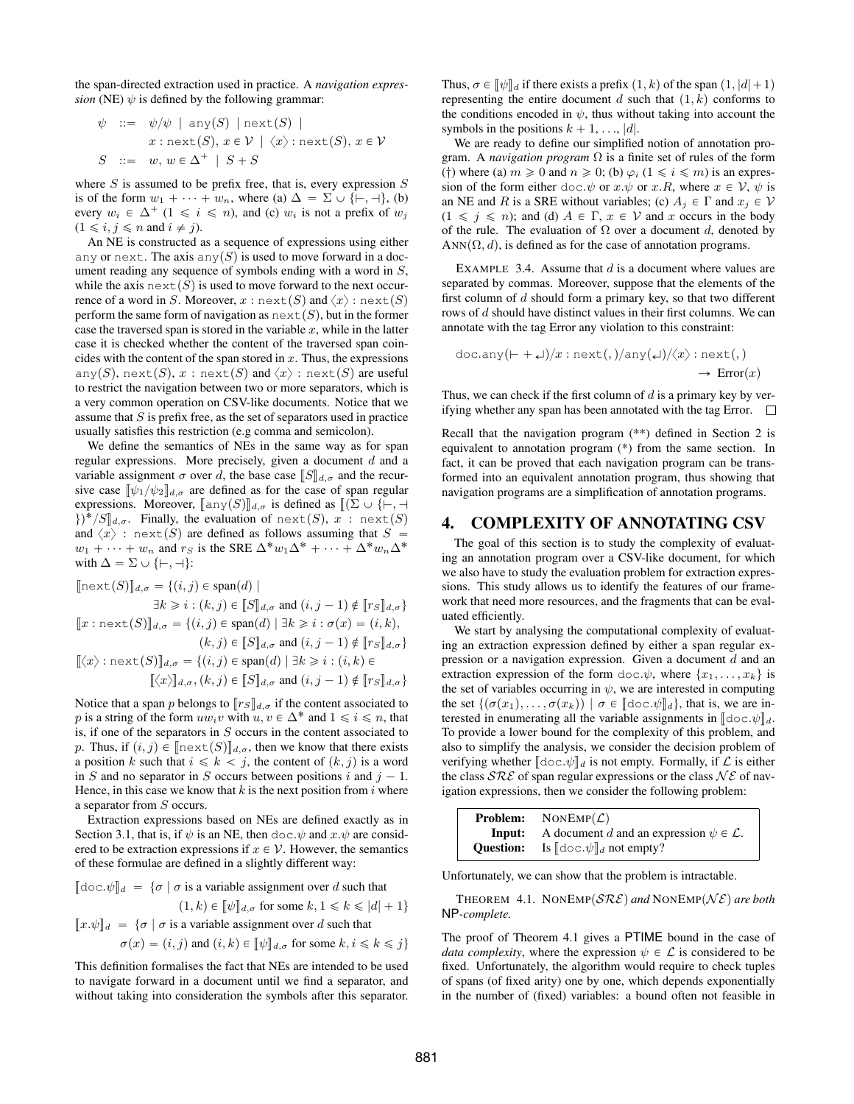the span-directed extraction used in practice. A *navigation expression* (NE)  $\psi$  is defined by the following grammar:

$$
\psi ::= \psi/\psi \mid \text{any}(S) \mid \text{next}(S) \mid
$$
  

$$
x : \text{next}(S), x \in \mathcal{V} \mid \langle x \rangle : \text{next}(S), x \in \mathcal{V}
$$
  

$$
S ::= w, w \in \Delta^+ \mid S + S
$$

where  $S$  is assumed to be prefix free, that is, every expression  $S$ is of the form  $w_1 + \cdots + w_n$ , where (a)  $\Delta = \Sigma \cup \{\vdash, \dashv\}$ , (b) every  $w_i \in \Delta^+$  (1  $\leq i \leq n$ ), and (c)  $w_i$  is not a prefix of  $w_i$  $(1 \leq i, j \leq n \text{ and } i \neq j).$ 

An NE is constructed as a sequence of expressions using either any or next. The axis any  $(S)$  is used to move forward in a document reading any sequence of symbols ending with a word in S, while the axis  $next(S)$  is used to move forward to the next occurrence of a word in S. Moreover,  $x : \text{next}(S)$  and  $\langle x \rangle : \text{next}(S)$ perform the same form of navigation as  $next(S)$ , but in the former case the traversed span is stored in the variable  $x$ , while in the latter case it is checked whether the content of the traversed span coincides with the content of the span stored in  $x$ . Thus, the expressions any(S), next(S), x: next(S) and  $\langle x \rangle$ : next(S) are useful to restrict the navigation between two or more separators, which is a very common operation on CSV-like documents. Notice that we assume that  $S$  is prefix free, as the set of separators used in practice usually satisfies this restriction (e.g comma and semicolon).

We define the semantics of NEs in the same way as for span regular expressions. More precisely, given a document  $d$  and a variable assignment  $\sigma$  over d, the base case  $[\![S]\!]_{d,\sigma}$  and the recursive case  $[\![\psi_1/\psi_2]\!]_{d,\sigma}$  are defined as for the case of span regular expressions. Moreover,  $[\ln(y(S)]_{d,\sigma}$  is defined as  $[(\Sigma \cup {\{\vdash,\vdash\}}$  $\{S\}^*$   $\mathbb{S}^n_{ad,\sigma}$ . Finally, the evaluation of next(S), x : next(S) and  $\langle x \rangle$  : next(S) are defined as follows assuming that  $S =$  $w_1 + \cdots + w_n$  and  $r_S$  is the SRE  $\Delta^* w_1 \Delta^* + \cdots + \Delta^* w_n \Delta^*$ with  $\Delta = \Sigma \cup \{ \vdash, \dashv \}$ :

$$
[\text{next}(S)]_{d,\sigma} = \{(i,j) \in \text{span}(d) \mid
$$
  
\n
$$
\exists k \ge i : (k,j) \in [S]_{d,\sigma} \text{ and } (i,j-1) \notin [rs]_{d,\sigma} \}
$$
  
\n
$$
[x : \text{next}(S)]_{d,\sigma} = \{(i,j) \in \text{span}(d) \mid \exists k \ge i : \sigma(x) = (i,k),
$$
  
\n
$$
(k,j) \in [S]_{d,\sigma} \text{ and } (i,j-1) \notin [rs]_{d,\sigma} \}
$$
  
\n
$$
[\langle x \rangle : \text{next}(S)]_{d,\sigma} = \{(i,j) \in \text{span}(d) \mid \exists k \ge i : (i,k) \in
$$
  
\n
$$
[\langle x \rangle]_{d,\sigma}, (k,j) \in [S]_{d,\sigma} \text{ and } (i,j-1) \notin [rs]_{d,\sigma} \}
$$

Notice that a span p belongs to  $[\![r_S]\!]_{d,\sigma}$  if the content associated to *p* is a string of the form  $uw_i v$  with  $u, v \in \Delta^*$  and  $1 \leq i \leq n$ , that is, if one of the separators in  $S$  occurs in the content associated to p. Thus, if  $(i, j) \in [\text{next}(S)]_{d, \sigma}$ , then we know that there exists a position k such that  $i \leq k \leq j$ , the content of  $(k, j)$  is a word in S and no separator in S occurs between positions i and  $j - 1$ . Hence, in this case we know that  $k$  is the next position from  $i$  where a separator from S occurs.

Extraction expressions based on NEs are defined exactly as in Section [3.1,](#page-3-2) that is, if  $\psi$  is an NE, then  $\text{doc.}\psi$  and  $x.\psi$  are considered to be extraction expressions if  $x \in V$ . However, the semantics of these formulae are defined in a slightly different way:

$$
[\![\text{doc.}\psi]\!]_d = \{\sigma \mid \sigma \text{ is a variable assignment over } d \text{ such that } (1,k) \in [\![\psi]\!]_{d,\sigma} \text{ for some } k, 1 \leq k \leq |d| + 1\}
$$

$$
[\![x.\psi]\!]_d = \{\sigma \mid \sigma \text{ is a variable assignment over } d \text{ such that}
$$

$$
\sigma(x) = (i, j) \text{ and } (i, k) \in [\![\psi]\!]_{d,\sigma} \text{ for some } k, i \leq k \leq j\}
$$

This definition formalises the fact that NEs are intended to be used to navigate forward in a document until we find a separator, and without taking into consideration the symbols after this separator. Thus,  $\sigma \in [\psi]_d$  if there exists a prefix  $(1, k)$  of the span  $(1, |d|+1)$ representing the entire document d such that  $(1, k)$  conforms to the conditions encoded in  $\psi$ , thus without taking into account the symbols in the positions  $k + 1, \ldots, |d|$ .

We are ready to define our simplified notion of annotation program. A *navigation program* Ω is a finite set of rules of the form ([†](#page-4-0)) where (a)  $m \ge 0$  and  $n \ge 0$ ; (b)  $\varphi_i$  ( $1 \le i \le m$ ) is an expression of the form either doc. $\psi$  or  $x.\psi$  or  $x.R$ , where  $x \in V$ ,  $\psi$  is an NE and R is a SRE without variables; (c)  $A_i \in \Gamma$  and  $x_i \in V$  $(1 \leq j \leq n)$ ; and (d)  $A \in \Gamma$ ,  $x \in V$  and x occurs in the body of the rule. The evaluation of  $\Omega$  over a document d, denoted by ANN $(\Omega, d)$ , is defined as for the case of annotation programs.

EXAMPLE 3.4. Assume that  $d$  is a document where values are separated by commas. Moreover, suppose that the elements of the first column of  $d$  should form a primary key, so that two different rows of d should have distinct values in their first columns. We can annotate with the tag Error any violation to this constraint:

$$
\text{doc.any}(\vdash +\downarrow)/x:\text{next}(,)/\text{any}(\downarrow)/\langle x\rangle:\text{next}(,)\rightarrow \text{Error}(x)
$$

Thus, we can check if the first column of  $d$  is a primary key by verifying whether any span has been annotated with the tag Error.  $\Box$ 

Recall that the navigation program [\(\\*\\*\)](#page-3-3) defined in Section [2](#page-2-1) is equivalent to annotation program [\(\\*\)](#page-2-0) from the same section. In fact, it can be proved that each navigation program can be transformed into an equivalent annotation program, thus showing that navigation programs are a simplification of annotation programs.

## <span id="page-5-1"></span>4. COMPLEXITY OF ANNOTATING CSV

The goal of this section is to study the complexity of evaluating an annotation program over a CSV-like document, for which we also have to study the evaluation problem for extraction expressions. This study allows us to identify the features of our framework that need more resources, and the fragments that can be evaluated efficiently.

We start by analysing the computational complexity of evaluating an extraction expression defined by either a span regular expression or a navigation expression. Given a document  $d$  and an extraction expression of the form  $\text{doc.}\psi$ , where  $\{x_1, \ldots, x_k\}$  is the set of variables occurring in  $\psi$ , we are interested in computing the set  $\{(\sigma(x_1), \ldots, \sigma(x_k)) \mid \sigma \in [\text{doc.} \psi]_d\}$ , that is, we are interested in enumerating all the variable assignments in  $[\![\text{doc.}\psi]\!]_d$ . To provide a lower bound for the complexity of this problem, and also to simplify the analysis, we consider the decision problem of verifying whether  $[\![\text{doc.}\psi]\!]_d$  is not empty. Formally, if  $\mathcal L$  is either the class  $\mathcal{SRE}$  of span regular expressions or the class  $N\mathcal{E}$  of navigation expressions, then we consider the following problem:

<span id="page-5-0"></span>

| <b>Problem:</b> NONEMP $(\mathcal{L})$ |                                                         |
|----------------------------------------|---------------------------------------------------------|
| Input:                                 | A document d and an expression $\psi \in \mathcal{L}$ . |
| <b>Ouestion:</b>                       | Is $[\![\text{doc.}\psi]\!]_d$ not empty?               |
|                                        |                                                         |

Unfortunately, we can show that the problem is intractable.

THEOREM 4.1. NONEMP $(SRE)$  and NONEMP $(NE)$  are both NP*-complete.*

The proof of Theorem [4.1](#page-5-0) gives a PTIME bound in the case of *data complexity*, where the expression  $\psi \in \mathcal{L}$  is considered to be fixed. Unfortunately, the algorithm would require to check tuples of spans (of fixed arity) one by one, which depends exponentially in the number of (fixed) variables: a bound often not feasible in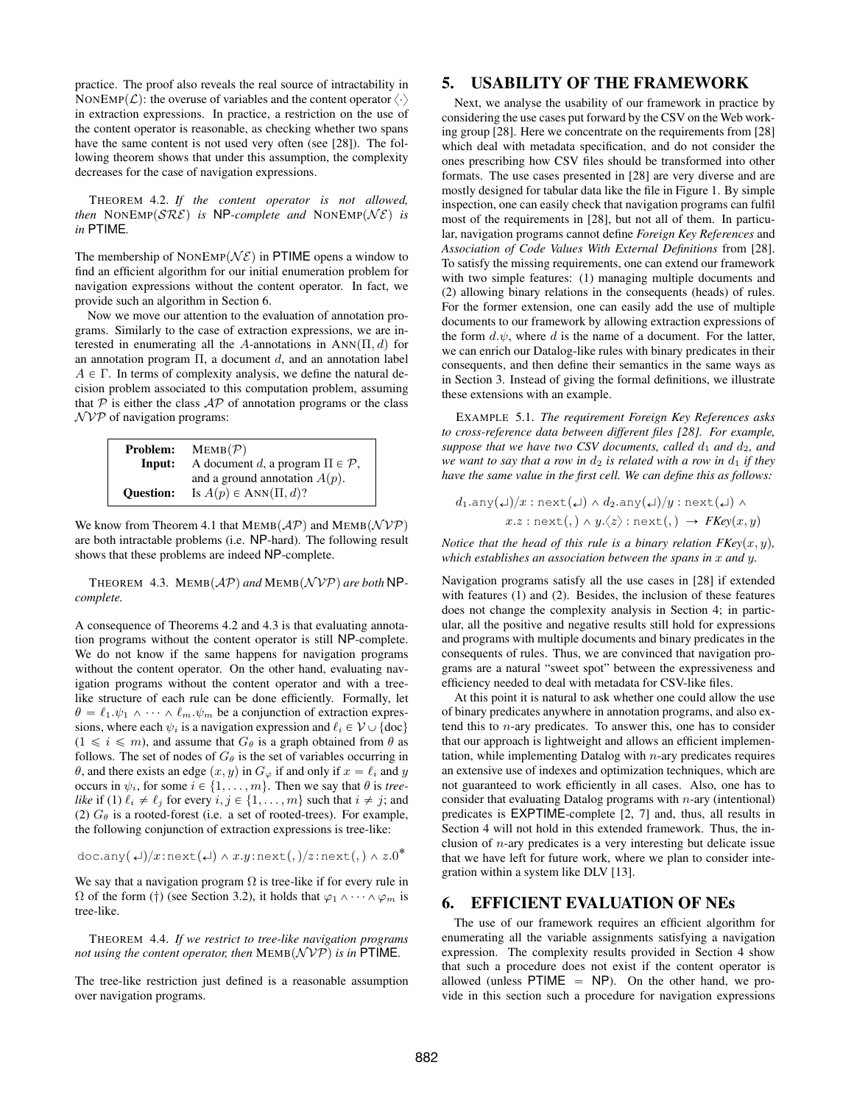practice. The proof also reveals the real source of intractability in NONEMP $(\mathcal{L})$ : the overuse of variables and the content operator  $\langle \cdot \rangle$ in extraction expressions. In practice, a restriction on the use of the content operator is reasonable, as checking whether two spans have the same content is not used very often (see [\[28\]](#page-11-9)). The following theorem shows that under this assumption, the complexity decreases for the case of navigation expressions.

THEOREM 4.2. *If the content operator is not allowed, then* NONEMP $(SRE)$  *is* NP-complete and NONEMP $(NE)$  *is in* PTIME*.*

The membership of NONEMP( $N\mathcal{E}$ ) in PTIME opens a window to find an efficient algorithm for our initial enumeration problem for navigation expressions without the content operator. In fact, we provide such an algorithm in Section [6.](#page-6-0)

Now we move our attention to the evaluation of annotation programs. Similarly to the case of extraction expressions, we are interested in enumerating all the A-annotations in  $ANN(\Pi, d)$  for an annotation program  $\Pi$ , a document d, and an annotation label  $A \in \Gamma$ . In terms of complexity analysis, we define the natural decision problem associated to this computation problem, assuming that  $P$  is either the class  $AP$  of annotation programs or the class  $\mathcal{NVP}$  of navigation programs:

| <b>Problem:</b>  | $MEMB(\mathcal{P})$                             |
|------------------|-------------------------------------------------|
| Input:           | A document d, a program $\Pi \in \mathcal{P}$ , |
|                  | and a ground annotation $A(p)$ .                |
| <b>Ouestion:</b> | Is $A(p) \in \text{ANN}(\Pi, d)$ ?              |

We know from Theorem [4.1](#page-5-0) that  $MEMB(\mathcal{AP})$  and  $MEMB(\mathcal{NVP})$ are both intractable problems (i.e. NP-hard). The following result shows that these problems are indeed NP-complete.

THEOREM 4.3.  $MEMB(\mathcal{AP})$  and  $MEMB(\mathcal{NVP})$  are both NP*complete.*

A consequence of Theorems [4.2](#page-6-1) and [4.3](#page-6-2) is that evaluating annotation programs without the content operator is still NP-complete. We do not know if the same happens for navigation programs without the content operator. On the other hand, evaluating navigation programs without the content operator and with a treelike structure of each rule can be done efficiently. Formally, let  $\theta = \ell_1 \psi_1 \wedge \cdots \wedge \ell_m \psi_m$  be a conjunction of extraction expressions, where each  $\psi_i$  is a navigation expression and  $\ell_i \in \mathcal{V} \cup \{\text{doc}\}\$  $(1 \le i \le m)$ , and assume that  $G_{\theta}$  is a graph obtained from  $\theta$  as follows. The set of nodes of  $G_{\theta}$  is the set of variables occurring in θ, and there exists an edge  $(x, y)$  in  $G<sub>ϕ</sub>$  if and only if  $x = \ell_i$  and y occurs in  $\psi_i$ , for some  $i \in \{1, ..., m\}$ . Then we say that  $\theta$  is *treelike* if (1)  $\ell_i \neq \ell_j$  for every  $i, j \in \{1, \ldots, m\}$  such that  $i \neq j$ ; and (2)  $G_{\theta}$  is a rooted-forest (i.e. a set of rooted-trees). For example, the following conjunction of extraction expressions is tree-like:

$$
\text{doc.any}(\text{L})/x:\text{next}(\text{L}) \land x.y:\text{next}(,)/z:\text{next}(,) \land z.0^*
$$

<span id="page-6-3"></span>We say that a navigation program  $\Omega$  is tree-like if for every rule in  $\Omega$  of the form ([†](#page-4-0)) (see Section [3.2\)](#page-4-1), it holds that  $\varphi_1 \wedge \cdots \wedge \varphi_m$  is tree-like.

THEOREM 4.4. *If we restrict to tree-like navigation programs not using the content operator, then*  $MEMP$  *is in* PTIME.

The tree-like restriction just defined is a reasonable assumption over navigation programs.

# 5. USABILITY OF THE FRAMEWORK

<span id="page-6-1"></span>Next, we analyse the usability of our framework in practice by considering the use cases put forward by the CSV on the Web working group [\[28\]](#page-11-9). Here we concentrate on the requirements from [\[28\]](#page-11-9) which deal with metadata specification, and do not consider the ones prescribing how CSV files should be transformed into other formats. The use cases presented in [\[28\]](#page-11-9) are very diverse and are mostly designed for tabular data like the file in Figure [1.](#page-0-0) By simple inspection, one can easily check that navigation programs can fulfil most of the requirements in [\[28\]](#page-11-9), but not all of them. In particular, navigation programs cannot define *Foreign Key References* and *Association of Code Values With External Definitions* from [\[28\]](#page-11-9). To satisfy the missing requirements, one can extend our framework with two simple features: (1) managing multiple documents and (2) allowing binary relations in the consequents (heads) of rules. For the former extension, one can easily add the use of multiple documents to our framework by allowing extraction expressions of the form  $d.\psi$ , where d is the name of a document. For the latter, we can enrich our Datalog-like rules with binary predicates in their consequents, and then define their semantics in the same ways as in Section [3.](#page-3-0) Instead of giving the formal definitions, we illustrate these extensions with an example.

EXAMPLE 5.1. *The requirement Foreign Key References asks to cross-reference data between different files [\[28\]](#page-11-9). For example, suppose that we have two CSV documents, called*  $d_1$  *and*  $d_2$ *, and we want to say that a row in*  $d_2$  *is related with a row in*  $d_1$  *if they have the same value in the first cell. We can define this as follows:*

$$
d_1.\mathrm{any}(\mathcal{L})/x:\mathrm{next}(\mathcal{L}) \wedge d_2.\mathrm{any}(\mathcal{L})/y:\mathrm{next}(\mathcal{L}) \wedge \\
 x.z:\mathrm{next}(,) \wedge y.\langle z \rangle:\mathrm{next}(,) \rightarrow \mathit{FKey}(x,y)
$$

<span id="page-6-2"></span>*Notice that the head of this rule is a binary relation*  $FKey(x, y)$ *, which establishes an association between the spans in* x *and* y*.*

Navigation programs satisfy all the use cases in [\[28\]](#page-11-9) if extended with features (1) and (2). Besides, the inclusion of these features does not change the complexity analysis in Section [4;](#page-5-1) in particular, all the positive and negative results still hold for expressions and programs with multiple documents and binary predicates in the consequents of rules. Thus, we are convinced that navigation programs are a natural "sweet spot" between the expressiveness and efficiency needed to deal with metadata for CSV-like files.

At this point it is natural to ask whether one could allow the use of binary predicates anywhere in annotation programs, and also extend this to  $n$ -ary predicates. To answer this, one has to consider that our approach is lightweight and allows an efficient implementation, while implementing Datalog with  $n$ -ary predicates requires an extensive use of indexes and optimization techniques, which are not guaranteed to work efficiently in all cases. Also, one has to consider that evaluating Datalog programs with  $n$ -ary (intentional) predicates is EXPTIME-complete [\[2,](#page-11-24) [7\]](#page-11-25) and, thus, all results in Section [4](#page-5-1) will not hold in this extended framework. Thus, the inclusion of n-ary predicates is a very interesting but delicate issue that we have left for future work, where we plan to consider integration within a system like DLV [\[13\]](#page-11-26).

## <span id="page-6-0"></span>6. EFFICIENT EVALUATION OF NEs

The use of our framework requires an efficient algorithm for enumerating all the variable assignments satisfying a navigation expression. The complexity results provided in Section [4](#page-5-1) show that such a procedure does not exist if the content operator is allowed (unless  $PTIME = NP$ ). On the other hand, we provide in this section such a procedure for navigation expressions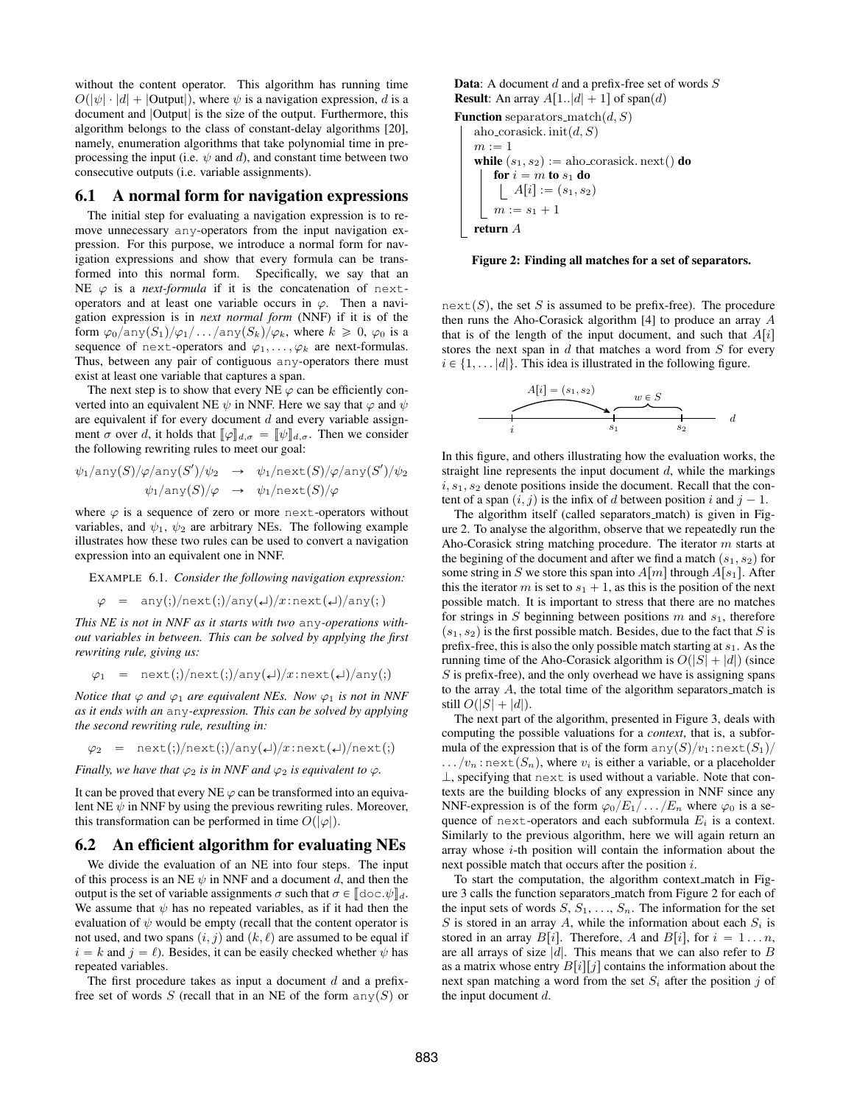without the content operator. This algorithm has running time  $O(|\psi| \cdot |d| + |$ Output $|$ ), where  $\psi$  is a navigation expression, d is a document and |Output| is the size of the output. Furthermore, this algorithm belongs to the class of constant-delay algorithms [\[20\]](#page-11-13), namely, enumeration algorithms that take polynomial time in preprocessing the input (i.e.  $\psi$  and d), and constant time between two consecutive outputs (i.e. variable assignments).

#### 6.1 A normal form for navigation expressions

The initial step for evaluating a navigation expression is to remove unnecessary any-operators from the input navigation expression. For this purpose, we introduce a normal form for navigation expressions and show that every formula can be transformed into this normal form. Specifically, we say that an NE  $\varphi$  is a *next-formula* if it is the concatenation of nextoperators and at least one variable occurs in  $\varphi$ . Then a navigation expression is in *next normal form* (NNF) if it is of the form  $\varphi_0$ /any $(S_1)/\varphi_1/\dots/\text{any}(S_k)/\varphi_k$ , where  $k \geq 0$ ,  $\varphi_0$  is a sequence of next-operators and  $\varphi_1, \ldots, \varphi_k$  are next-formulas. Thus, between any pair of contiguous any-operators there must exist at least one variable that captures a span.

The next step is to show that every NE  $\varphi$  can be efficiently converted into an equivalent NE  $\psi$  in NNF. Here we say that  $\varphi$  and  $\psi$ are equivalent if for every document d and every variable assignment  $\sigma$  over d, it holds that  $[\![\varphi]\!]_{d,\sigma} = [\![\psi]\!]_{d,\sigma}$ . Then we consider the following rewriting rules to meet our goal:

$$
\psi_1/\text{any}(S)/\varphi/\text{any}(S')/\psi_2 \rightarrow \psi_1/\text{next}(S)/\varphi/\text{any}(S')/\psi_2
$$
  

$$
\psi_1/\text{any}(S)/\varphi \rightarrow \psi_1/\text{next}(S)/\varphi
$$

where  $\varphi$  is a sequence of zero or more next-operators without variables, and  $\psi_1$ ,  $\psi_2$  are arbitrary NEs. The following example illustrates how these two rules can be used to convert a navigation expression into an equivalent one in NNF.

EXAMPLE 6.1. *Consider the following navigation expression:*

$$
\varphi = \text{any}(x)/\text{next}(x)/\text{any}(x)/x \cdot \text{next}(x)/\text{any}(x)
$$

*This NE is not in NNF as it starts with two* any*-operations without variables in between. This can be solved by applying the first rewriting rule, giving us:*

$$
\varphi_1
$$
 = next();)/next();/any( $\downarrow$ )/x.next( $\downarrow$ )/any();

*Notice that*  $\varphi$  *and*  $\varphi_1$  *are equivalent NEs. Now*  $\varphi_1$  *is not in NNF as it ends with an* any*-expression. This can be solved by applying the second rewriting rule, resulting in:*

$$
\varphi_2 = \text{next}(i)/\text{next}(i)/\text{any}(\mathcal{A})/x:\text{next}(\mathcal{A})/\text{next}(i)
$$

*Finally, we have that*  $\varphi_2$  *is in NNF and*  $\varphi_2$  *is equivalent to*  $\varphi$ *.* 

It can be proved that every NE  $\varphi$  can be transformed into an equivalent NE  $\psi$  in NNF by using the previous rewriting rules. Moreover, this transformation can be performed in time  $O(|\varphi|)$ .

#### 6.2 An efficient algorithm for evaluating NEs

We divide the evaluation of an NE into four steps. The input of this process is an NE  $\psi$  in NNF and a document d, and then the output is the set of variable assignments  $\sigma$  such that  $\sigma \in [\phi \circ c \cdot \psi]_d$ . We assume that  $\psi$  has no repeated variables, as if it had then the evaluation of  $\psi$  would be empty (recall that the content operator is not used, and two spans  $(i, j)$  and  $(k, \ell)$  are assumed to be equal if  $i = k$  and  $j = \ell$ ). Besides, it can be easily checked whether  $\psi$  has repeated variables.

The first procedure takes as input a document  $d$  and a prefixfree set of words S (recall that in an NE of the form  $\text{any}(S)$ ) or **Data:** A document  $d$  and a prefix-free set of words  $S$ **Result:** An array  $A[1..|d| + 1]$  of span $(d)$ 

```
Function separators match(d, S)aho corasick. init(d, S)m := 1while (s_1, s_2) := \text{aho\_corasick. next}() do
       for i = m to s_1 do
       \lfloor A[i] := (s_1, s_2)m := s_1 + 1return A
```
#### <span id="page-7-0"></span>Figure 2: Finding all matches for a set of separators.

 $next(S)$ , the set S is assumed to be prefix-free). The procedure then runs the Aho-Corasick algorithm [\[4\]](#page-11-27) to produce an array A that is of the length of the input document, and such that  $A[i]$ stores the next span in  $d$  that matches a word from  $S$  for every  $i \in \{1, \ldots |d|\}$ . This idea is illustrated in the following figure.

$$
A[i] = (s_1, s_2)
$$
\n
$$
w \in S
$$
\n
$$
s_1
$$
\n
$$
s_2
$$
\n
$$
d
$$

In this figure, and others illustrating how the evaluation works, the straight line represents the input document  $d$ , while the markings  $i, s_1, s_2$  denote positions inside the document. Recall that the content of a span  $(i, j)$  is the infix of d between position i and  $j - 1$ .

The algorithm itself (called separators match) is given in Figure [2.](#page-7-0) To analyse the algorithm, observe that we repeatedly run the Aho-Corasick string matching procedure. The iterator m starts at the begining of the document and after we find a match  $(s_1, s_2)$  for some string in S we store this span into  $A[m]$  through  $A[s_1]$ . After this the iterator m is set to  $s_1 + 1$ , as this is the position of the next possible match. It is important to stress that there are no matches for strings in  $S$  beginning between positions  $m$  and  $s<sub>1</sub>$ , therefore  $(s_1, s_2)$  is the first possible match. Besides, due to the fact that S is prefix-free, this is also the only possible match starting at  $s_1$ . As the running time of the Aho-Corasick algorithm is  $O(|S| + |d|)$  (since  $S$  is prefix-free), and the only overhead we have is assigning spans to the array  $A$ , the total time of the algorithm separators match is still  $O(|S| + |d|)$ .

The next part of the algorithm, presented in Figure [3,](#page-8-0) deals with computing the possible valuations for a *context*, that is, a subformula of the expression that is of the form  $\text{any}(S)/v_1$ :next $(S_1)$  $\ldots/v_n$ : next $(S_n)$ , where  $v_i$  is either a variable, or a placeholder  $\perp$ , specifying that next is used without a variable. Note that contexts are the building blocks of any expression in NNF since any NNF-expression is of the form  $\varphi_0/E_1/\dots/E_n$  where  $\varphi_0$  is a sequence of next-operators and each subformula  $E_i$  is a context. Similarly to the previous algorithm, here we will again return an array whose  $i$ -th position will contain the information about the next possible match that occurs after the position i.

To start the computation, the algorithm context match in Figure [3](#page-8-0) calls the function separators match from Figure [2](#page-7-0) for each of the input sets of words  $S, S_1, \ldots, S_n$ . The information for the set S is stored in an array A, while the information about each  $S_i$  is stored in an array  $B[i]$ . Therefore, A and  $B[i]$ , for  $i = 1...n$ , are all arrays of size  $|d|$ . This means that we can also refer to B as a matrix whose entry  $B[i][j]$  contains the information about the next span matching a word from the set  $S_i$  after the position j of the input document d.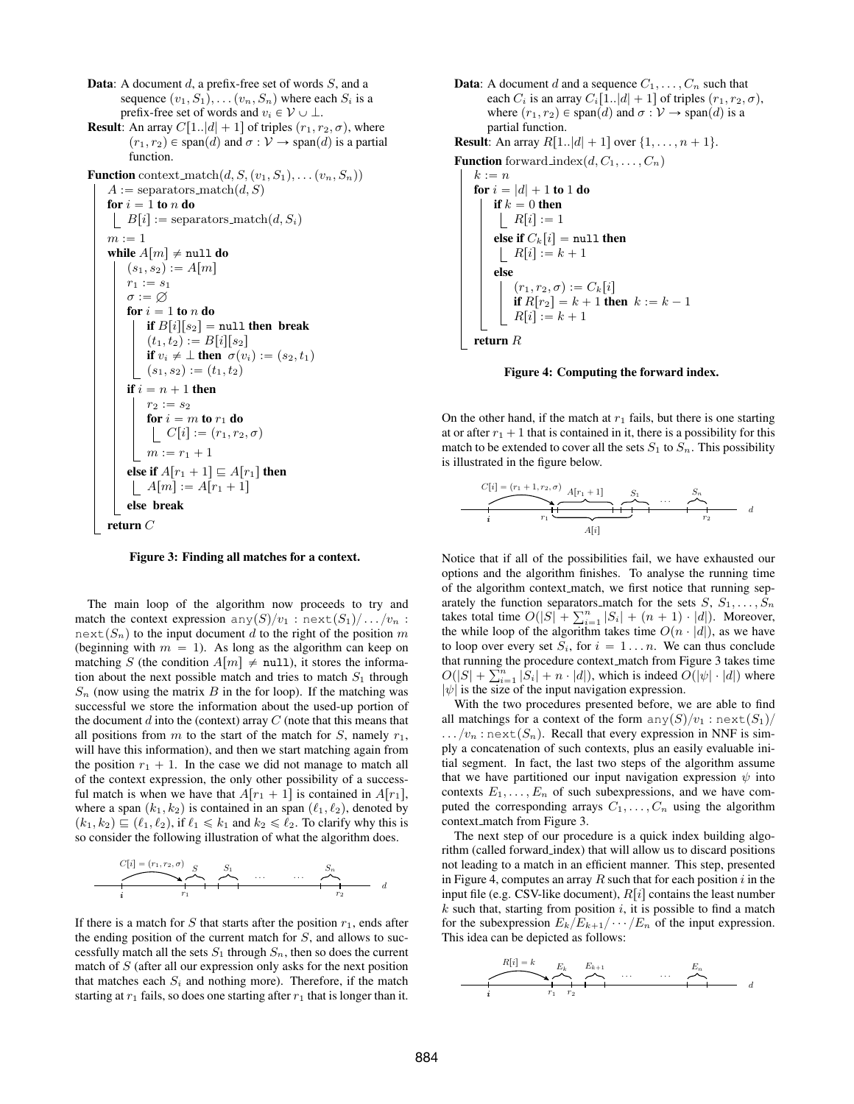**Data:** A document  $d$ , a prefix-free set of words  $S$ , and a sequence  $(v_1, S_1), \ldots (v_n, S_n)$  where each  $S_i$  is a prefix-free set of words and  $v_i \in \mathcal{V} \cup \bot$ .

**Result:** An array  $C[1..|d| + 1]$  of triples  $(r_1, r_2, \sigma)$ , where  $(r_1, r_2) \in \text{span}(d)$  and  $\sigma : \mathcal{V} \to \text{span}(d)$  is a partial function.

```
Function context_match(d, S, (v_1, S_1), \ldots, (v_n, S_n))A := separators_match(d, S)for i = 1 to n do
     B[i] := \text{separators-match}(d, S_i)m := 1while A[m] \neq \text{null} do
        (s_1, s_2) := A[m]r_1 := s_1\sigma := \varnothingfor i = 1 to n do
            if B[i][s_2] = \text{null} then break
            (t_1, t_2) := B[i][s_2]if v_i \neq \perp then \sigma(v_i) := (s_2, t_1)(s_1, s_2) := (t_1, t_2)if i = n + 1 then
            r_2 := s_2for i = m to r_1 do
              | C[i] := (r_1, r_2, \sigma)m := r_1 + 1else if A[r_1 + 1] \sqsubseteq A[r_1] then
             A[m] := A[r_1 + 1]else break
```
return C

L

<span id="page-8-0"></span>Figure 3: Finding all matches for a context.

The main loop of the algorithm now proceeds to try and match the context expression any  $(S)/v_1$ : next $(S_1)/ \dots / v_n$ :  $next(S_n)$  to the input document d to the right of the position m (beginning with  $m = 1$ ). As long as the algorithm can keep on matching S (the condition  $A[m] \neq \text{null}$ ), it stores the information about the next possible match and tries to match  $S_1$  through  $S_n$  (now using the matrix B in the for loop). If the matching was successful we store the information about the used-up portion of the document  $d$  into the (context) array  $C$  (note that this means that all positions from m to the start of the match for  $S$ , namely  $r_1$ , will have this information), and then we start matching again from the position  $r_1 + 1$ . In the case we did not manage to match all of the context expression, the only other possibility of a successful match is when we have that  $A[r_1 + 1]$  is contained in  $A[r_1]$ , where a span  $(k_1, k_2)$  is contained in an span  $(\ell_1, \ell_2)$ , denoted by  $(k_1, k_2) \sqsubseteq (\ell_1, \ell_2)$ , if  $\ell_1 \leq k_1$  and  $k_2 \leq \ell_2$ . To clarify why this is so consider the following illustration of what the algorithm does.

$$
\begin{array}{c|c}\nC[i] = (r_1, r_2, \sigma) & S_1 & \dots & S_n \\
\hline\n\vdots & \vdots & \ddots & \vdots \\
\hline\n\vdots & \vdots & \ddots & \vdots \\
\hline\n\end{array}
$$

If there is a match for S that starts after the position  $r_1$ , ends after the ending position of the current match for  $S$ , and allows to successfully match all the sets  $S_1$  through  $S_n$ , then so does the current match of  $S$  (after all our expression only asks for the next position that matches each  $S_i$  and nothing more). Therefore, if the match starting at  $r_1$  fails, so does one starting after  $r_1$  that is longer than it.

```
Data: A document d and a sequence C_1, \ldots, C_n such that
       each C_i is an array C_i[1..|d| + 1] of triples (r_1, r_2, \sigma),
       where (r_1, r_2) \in \text{span}(d) and \sigma : \mathcal{V} \to \text{span}(d) is a
       partial function.
Result: An array R[1..|d| + 1] over \{1, ..., n + 1\}.
Function forward_index(d, C_1, \ldots, C_n)k := nfor i = |d| + 1 to 1 do
        if k = 0 then
         R[i] := 1else if C_k[i] = \text{null} then
         R[i] := k + 1else
             (r_1, r_2, \sigma) := C_k[i]if R[r_2] = k + 1 then k := k - 1R[i] := k + 1return R
```
<span id="page-8-1"></span>Figure 4: Computing the forward index.

On the other hand, if the match at  $r_1$  fails, but there is one starting at or after  $r_1 + 1$  that is contained in it, there is a possibility for this match to be extended to cover all the sets  $S_1$  to  $S_n$ . This possibility is illustrated in the figure below.

A S<sup>1</sup> rr<sup>1</sup> ` 1s S<sup>n</sup> . . . d i r<sup>1</sup> r<sup>2</sup> Aris

 $\alpha$  pr $\alpha$  is  $\alpha$  in the  $\alpha$ 

Notice that if all of the possibilities fail, we have exhausted our options and the algorithm finishes. To analyse the running time of the algorithm context\_match, we first notice that running separately the function separators match for the sets  $S, S_1, \ldots, S_n$ arately the function separators match for the sets  $S, S_1, \ldots, S_n$ <br>takes total time  $O(|S| + \sum_{i=1}^n |S_i| + (n+1) \cdot |d|)$ . Moreover, the while loop of the algorithm takes time  $O(n \cdot |d|)$ , as we have to loop over every set  $S_i$ , for  $i = 1...n$ . We can thus conclude that running the procedure context match from Figure [3](#page-8-0) takes time that running the procedure context match from Figure 3 takes time<br> $O(|S| + \sum_{i=1}^{n} |S_i| + n \cdot |d|)$ , which is indeed  $O(|\psi| \cdot |d|)$  where  $|\psi|$  is the size of the input navigation expression.

With the two procedures presented before, we are able to find all matchings for a context of the form  $\text{any}(S)/v_1 : \text{next}(S_1)/v_2$  $\ldots/v_n$ : next $(S_n)$ . Recall that every expression in NNF is simply a concatenation of such contexts, plus an easily evaluable initial segment. In fact, the last two steps of the algorithm assume

that we have partitioned our input navigation expression  $\psi$  into contexts  $E_1, \ldots, E_n$  of such subexpressions, and we have computed the corresponding arrays  $C_1, \ldots, C_n$  using the algorithm context match from Figure [3.](#page-8-0)

The next step of our procedure is a quick index building algorithm (called forward index) that will allow us to discard positions not leading to a match in an efficient manner. This step, presented in Figure [4,](#page-8-1) computes an array  $R$  such that for each position  $i$  in the input file (e.g. CSV-like document),  $R[i]$  contains the least number  $k$  such that, starting from position  $i$ , it is possible to find a match for the subexpression  $E_k/E_{k+1}/ \cdots / E_n$  of the input expression. This idea can be depicted as follows:

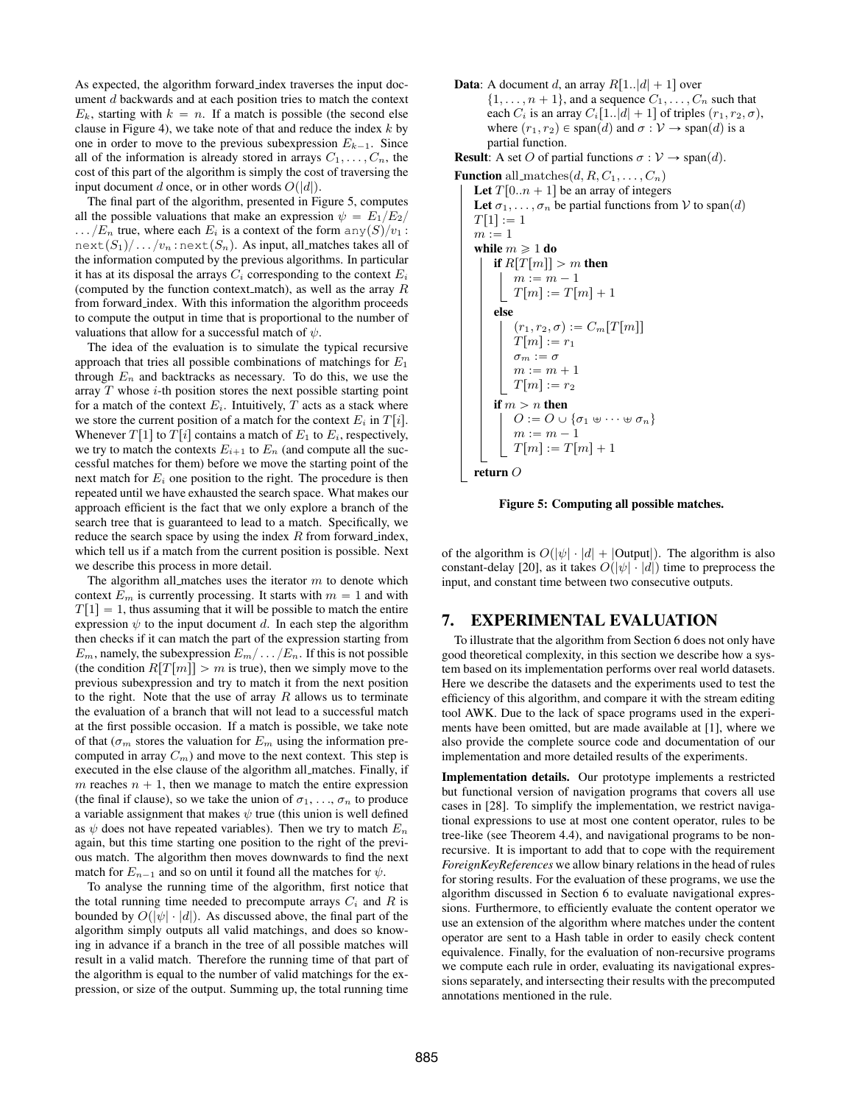As expected, the algorithm forward index traverses the input document d backwards and at each position tries to match the context  $E_k$ , starting with  $k = n$ . If a match is possible (the second else clause in Figure [4\)](#page-8-1), we take note of that and reduce the index  $k$  by one in order to move to the previous subexpression  $E_{k-1}$ . Since all of the information is already stored in arrays  $C_1, \ldots, C_n$ , the cost of this part of the algorithm is simply the cost of traversing the input document d once, or in other words  $O(|d|)$ .

The final part of the algorithm, presented in Figure [5,](#page-9-1) computes all the possible valuations that make an expression  $\psi = E_1/E_2/$  $\ldots/E_n$  true, where each  $E_i$  is a context of the form any  $(S)/v_1$ :  $next(S_1)/.../v_n$ : next $(S_n)$ . As input, all matches takes all of the information computed by the previous algorithms. In particular it has at its disposal the arrays  $C_i$  corresponding to the context  $E_i$ (computed by the function context\_match), as well as the array  $R$ from forward index. With this information the algorithm proceeds to compute the output in time that is proportional to the number of valuations that allow for a successful match of  $\psi$ .

The idea of the evaluation is to simulate the typical recursive approach that tries all possible combinations of matchings for  $E_1$ through  $E_n$  and backtracks as necessary. To do this, we use the array  $T$  whose  $i$ -th position stores the next possible starting point for a match of the context  $E_i$ . Intuitively,  $T$  acts as a stack where we store the current position of a match for the context  $E_i$  in  $T[i]$ . Whenever  $T[1]$  to  $T[i]$  contains a match of  $E_1$  to  $E_i$ , respectively, we try to match the contexts  $E_{i+1}$  to  $E_n$  (and compute all the successful matches for them) before we move the starting point of the next match for  $E_i$  one position to the right. The procedure is then repeated until we have exhausted the search space. What makes our approach efficient is the fact that we only explore a branch of the search tree that is guaranteed to lead to a match. Specifically, we reduce the search space by using the index  $R$  from forward index, which tell us if a match from the current position is possible. Next we describe this process in more detail.

The algorithm all matches uses the iterator  $m$  to denote which context  $E_m$  is currently processing. It starts with  $m = 1$  and with  $T[1] = 1$ , thus assuming that it will be possible to match the entire expression  $\psi$  to the input document d. In each step the algorithm then checks if it can match the part of the expression starting from  $E_m$ , namely, the subexpression  $E_m / \ldots / E_n$ . If this is not possible (the condition  $R[T[m]] > m$  is true), then we simply move to the previous subexpression and try to match it from the next position to the right. Note that the use of array  $R$  allows us to terminate the evaluation of a branch that will not lead to a successful match at the first possible occasion. If a match is possible, we take note of that ( $\sigma_m$  stores the valuation for  $E_m$  using the information precomputed in array  $C_m$ ) and move to the next context. This step is executed in the else clause of the algorithm all matches. Finally, if m reaches  $n + 1$ , then we manage to match the entire expression (the final if clause), so we take the union of  $\sigma_1, \ldots, \sigma_n$  to produce a variable assignment that makes  $\psi$  true (this union is well defined as  $\psi$  does not have repeated variables). Then we try to match  $E_n$ again, but this time starting one position to the right of the previous match. The algorithm then moves downwards to find the next match for  $E_{n-1}$  and so on until it found all the matches for  $\psi$ .

To analyse the running time of the algorithm, first notice that the total running time needed to precompute arrays  $C_i$  and R is bounded by  $O(|\psi| \cdot |d|)$ . As discussed above, the final part of the algorithm simply outputs all valid matchings, and does so knowing in advance if a branch in the tree of all possible matches will result in a valid match. Therefore the running time of that part of the algorithm is equal to the number of valid matchings for the expression, or size of the output. Summing up, the total running time

```
Data: A document d, an array R[1..|d| + 1] over
       \{1, \ldots, n + 1\}, and a sequence C_1, \ldots, C_n such that
       each C_i is an array C_i[1..|d| + 1] of triples (r_1, r_2, \sigma),
       where (r_1, r_2) \in \text{span}(d) and \sigma : \mathcal{V} \to \text{span}(d) is a
       partial function.
Result: A set O of partial functions \sigma : \mathcal{V} \to \text{span}(d).
Function all matches (d, R, C_1, \ldots, C_n)Let T[0..n + 1] be an array of integers
    Let \sigma_1, \ldots, \sigma_n be partial functions from V to span(d)
    T[1] := 1m := 1while m \geqslant 1 do
        if R[T[m]] > m then
             m := m - 1T[m] := T[m] + 1else
             (r_1, r_2, \sigma) := C_m[T[m]]T[m] := r_1
```

```
Figure 5: Computing all possible matches.
```
of the algorithm is  $O(|\psi| \cdot |d| + |$ Output|). The algorithm is also constant-delay [\[20\]](#page-11-13), as it takes  $O(|\psi| \cdot |d|)$  time to preprocess the input, and constant time between two consecutive outputs.

# <span id="page-9-0"></span>7. EXPERIMENTAL EVALUATION

 $O := O \cup \{ \sigma_1 \oplus \cdots \oplus \sigma_n \}$ 

 $\sigma_m := \sigma$  $m := m + 1$  $T[m] := r_2$ if  $m > n$  then

> $m := m - 1$  $T[m] := T[m] + 1$

return O

To illustrate that the algorithm from Section [6](#page-6-0) does not only have good theoretical complexity, in this section we describe how a system based on its implementation performs over real world datasets. Here we describe the datasets and the experiments used to test the efficiency of this algorithm, and compare it with the stream editing tool AWK. Due to the lack of space programs used in the experiments have been omitted, but are made available at [\[1\]](#page-11-22), where we also provide the complete source code and documentation of our implementation and more detailed results of the experiments.

Implementation details. Our prototype implements a restricted but functional version of navigation programs that covers all use cases in [\[28\]](#page-11-9). To simplify the implementation, we restrict navigational expressions to use at most one content operator, rules to be tree-like (see Theorem [4.4\)](#page-6-3), and navigational programs to be nonrecursive. It is important to add that to cope with the requirement *ForeignKeyReferences* we allow binary relations in the head of rules for storing results. For the evaluation of these programs, we use the algorithm discussed in Section [6](#page-6-0) to evaluate navigational expressions. Furthermore, to efficiently evaluate the content operator we use an extension of the algorithm where matches under the content operator are sent to a Hash table in order to easily check content equivalence. Finally, for the evaluation of non-recursive programs we compute each rule in order, evaluating its navigational expressions separately, and intersecting their results with the precomputed annotations mentioned in the rule.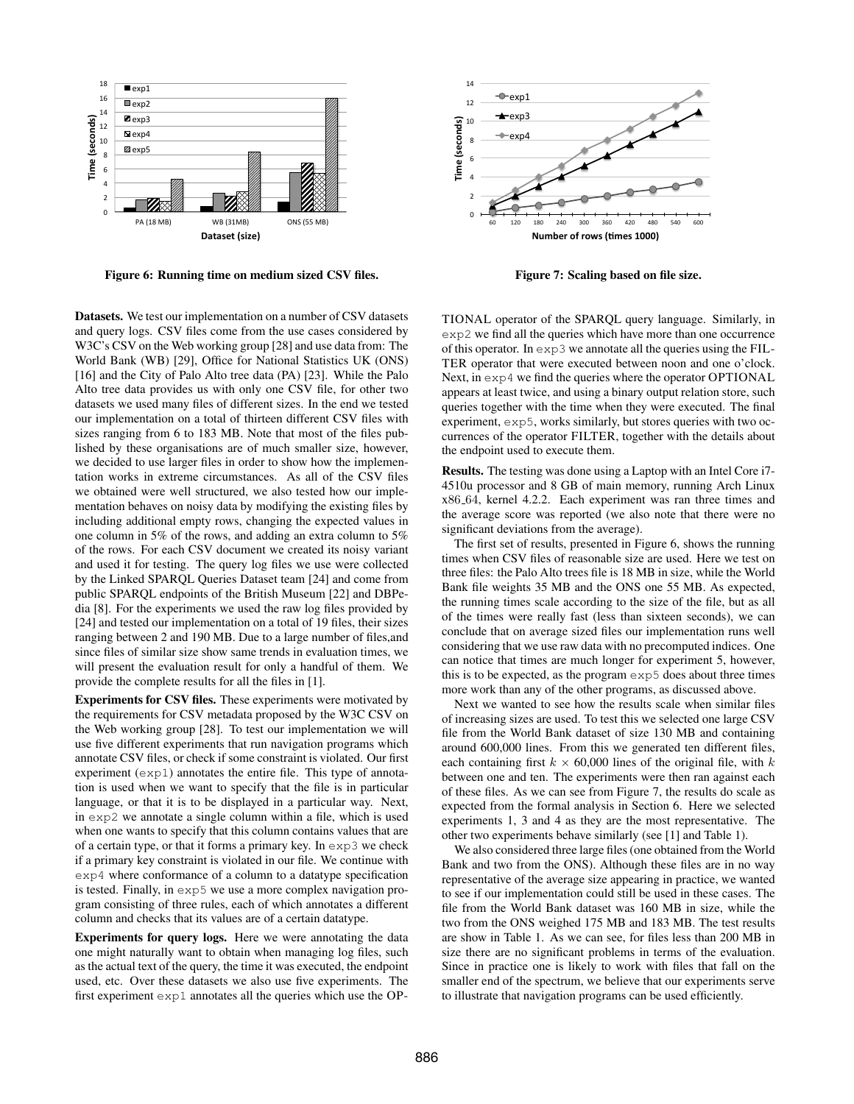

<span id="page-10-0"></span>Figure 6: Running time on medium sized CSV files.

Datasets. We test our implementation on a number of CSV datasets and query logs. CSV files come from the use cases considered by W3C's CSV on the Web working group [\[28\]](#page-11-9) and use data from: The World Bank (WB) [\[29\]](#page-11-2), Office for National Statistics UK (ONS) [\[16\]](#page-11-0) and the City of Palo Alto tree data (PA) [\[23\]](#page-11-28). While the Palo Alto tree data provides us with only one CSV file, for other two datasets we used many files of different sizes. In the end we tested our implementation on a total of thirteen different CSV files with sizes ranging from 6 to 183 MB. Note that most of the files published by these organisations are of much smaller size, however, we decided to use larger files in order to show how the implementation works in extreme circumstances. As all of the CSV files we obtained were well structured, we also tested how our implementation behaves on noisy data by modifying the existing files by including additional empty rows, changing the expected values in one column in 5% of the rows, and adding an extra column to 5% of the rows. For each CSV document we created its noisy variant and used it for testing. The query log files we use were collected by the Linked SPARQL Queries Dataset team [\[24\]](#page-11-5) and come from public SPARQL endpoints of the British Museum [\[22\]](#page-11-14) and DBPedia [\[8\]](#page-11-15). For the experiments we used the raw log files provided by [\[24\]](#page-11-5) and tested our implementation on a total of 19 files, their sizes ranging between 2 and 190 MB. Due to a large number of files,and since files of similar size show same trends in evaluation times, we will present the evaluation result for only a handful of them. We provide the complete results for all the files in [\[1\]](#page-11-22).

Experiments for CSV files. These experiments were motivated by the requirements for CSV metadata proposed by the W3C CSV on the Web working group [\[28\]](#page-11-9). To test our implementation we will use five different experiments that run navigation programs which annotate CSV files, or check if some constraint is violated. Our first experiment  $(\exp 1)$  annotates the entire file. This type of annotation is used when we want to specify that the file is in particular language, or that it is to be displayed in a particular way. Next, in exp2 we annotate a single column within a file, which is used when one wants to specify that this column contains values that are of a certain type, or that it forms a primary key. In  $\exp 3$  we check if a primary key constraint is violated in our file. We continue with exp4 where conformance of a column to a datatype specification is tested. Finally, in exp5 we use a more complex navigation program consisting of three rules, each of which annotates a different column and checks that its values are of a certain datatype.

Experiments for query logs. Here we were annotating the data one might naturally want to obtain when managing log files, such as the actual text of the query, the time it was executed, the endpoint used, etc. Over these datasets we also use five experiments. The first experiment  $\exp 1$  annotates all the queries which use the OP-



<span id="page-10-1"></span>Figure 7: Scaling based on file size.

TIONAL operator of the SPARQL query language. Similarly, in exp2 we find all the queries which have more than one occurrence of this operator. In  $\exp 3$  we annotate all the queries using the FIL-TER operator that were executed between noon and one o'clock. Next, in exp4 we find the queries where the operator OPTIONAL appears at least twice, and using a binary output relation store, such queries together with the time when they were executed. The final experiment, exp5, works similarly, but stores queries with two occurrences of the operator FILTER, together with the details about the endpoint used to execute them.

Results. The testing was done using a Laptop with an Intel Core i7- 4510u processor and 8 GB of main memory, running Arch Linux x86 64, kernel 4.2.2. Each experiment was ran three times and the average score was reported (we also note that there were no significant deviations from the average).

The first set of results, presented in Figure [6,](#page-10-0) shows the running times when CSV files of reasonable size are used. Here we test on three files: the Palo Alto trees file is 18 MB in size, while the World Bank file weights 35 MB and the ONS one 55 MB. As expected, the running times scale according to the size of the file, but as all of the times were really fast (less than sixteen seconds), we can conclude that on average sized files our implementation runs well considering that we use raw data with no precomputed indices. One can notice that times are much longer for experiment 5, however, this is to be expected, as the program  $\exp 5$  does about three times more work than any of the other programs, as discussed above.

Next we wanted to see how the results scale when similar files of increasing sizes are used. To test this we selected one large CSV file from the World Bank dataset of size 130 MB and containing around 600,000 lines. From this we generated ten different files, each containing first  $k \times 60,000$  lines of the original file, with k between one and ten. The experiments were then ran against each of these files. As we can see from Figure [7,](#page-10-1) the results do scale as expected from the formal analysis in Section [6.](#page-6-0) Here we selected experiments 1, 3 and 4 as they are the most representative. The other two experiments behave similarly (see [\[1\]](#page-11-22) and Table [1\)](#page-11-29).

We also considered three large files (one obtained from the World Bank and two from the ONS). Although these files are in no way representative of the average size appearing in practice, we wanted to see if our implementation could still be used in these cases. The file from the World Bank dataset was 160 MB in size, while the two from the ONS weighed 175 MB and 183 MB. The test results are show in Table [1.](#page-11-29) As we can see, for files less than 200 MB in size there are no significant problems in terms of the evaluation. Since in practice one is likely to work with files that fall on the smaller end of the spectrum, we believe that our experiments serve to illustrate that navigation programs can be used efficiently.